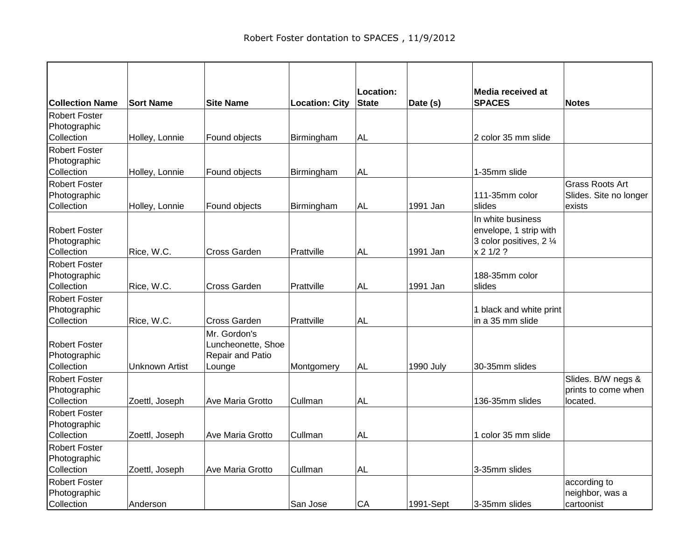|                            |                       |                         |                       | Location:    |                  | <b>Media received at</b>                    |                        |
|----------------------------|-----------------------|-------------------------|-----------------------|--------------|------------------|---------------------------------------------|------------------------|
| <b>Collection Name</b>     | <b>Sort Name</b>      | <b>Site Name</b>        | <b>Location: City</b> | <b>State</b> | Date (s)         | <b>SPACES</b>                               | <b>Notes</b>           |
| <b>Robert Foster</b>       |                       |                         |                       |              |                  |                                             |                        |
| Photographic               |                       |                         |                       |              |                  |                                             |                        |
| Collection                 | Holley, Lonnie        | Found objects           | Birmingham            | <b>AL</b>    |                  | 2 color 35 mm slide                         |                        |
| Robert Foster              |                       |                         |                       |              |                  |                                             |                        |
| Photographic               |                       |                         |                       |              |                  |                                             |                        |
| Collection                 | Holley, Lonnie        | Found objects           | Birmingham            | <b>AL</b>    |                  | 1-35mm slide                                |                        |
| <b>Robert Foster</b>       |                       |                         |                       |              |                  |                                             | <b>Grass Roots Art</b> |
| Photographic               |                       |                         |                       |              |                  | 111-35mm color                              | Slides. Site no longer |
| Collection                 | Holley, Lonnie        | Found objects           | Birmingham            | <b>AL</b>    | 1991 Jan         | slides                                      | exists                 |
|                            |                       |                         |                       |              |                  | In white business                           |                        |
| <b>Robert Foster</b>       |                       |                         |                       |              |                  | envelope, 1 strip with                      |                        |
| Photographic               |                       |                         |                       |              |                  | 3 color positives, 2 1/4                    |                        |
| Collection                 | Rice, W.C.            | <b>Cross Garden</b>     | Prattville            | <b>AL</b>    | 1991 Jan         | x 2 1/2 ?                                   |                        |
| Robert Foster              |                       |                         |                       |              |                  |                                             |                        |
| Photographic<br>Collection |                       | Cross Garden            | Prattville            | <b>AL</b>    | 1991 Jan         | 188-35mm color                              |                        |
|                            | Rice, W.C.            |                         |                       |              |                  | slides                                      |                        |
| <b>Robert Foster</b>       |                       |                         |                       |              |                  |                                             |                        |
| Photographic<br>Collection | Rice, W.C.            | <b>Cross Garden</b>     | Prattville            | <b>AL</b>    |                  | 1 black and white print<br>in a 35 mm slide |                        |
|                            |                       | Mr. Gordon's            |                       |              |                  |                                             |                        |
| <b>Robert Foster</b>       |                       | Luncheonette, Shoe      |                       |              |                  |                                             |                        |
| Photographic               |                       | Repair and Patio        |                       |              |                  |                                             |                        |
| Collection                 | <b>Unknown Artist</b> | Lounge                  | Montgomery            | <b>AL</b>    | <b>1990 July</b> | 30-35mm slides                              |                        |
| <b>Robert Foster</b>       |                       |                         |                       |              |                  |                                             | Slides. B/W negs &     |
| Photographic               |                       |                         |                       |              |                  |                                             | prints to come when    |
| Collection                 | Zoettl, Joseph        | <b>Ave Maria Grotto</b> | Cullman               | <b>AL</b>    |                  | 136-35mm slides                             | located.               |
| <b>Robert Foster</b>       |                       |                         |                       |              |                  |                                             |                        |
| Photographic               |                       |                         |                       |              |                  |                                             |                        |
| Collection                 | Zoettl, Joseph        | Ave Maria Grotto        | Cullman               | AL           |                  | 1 color 35 mm slide                         |                        |
| <b>Robert Foster</b>       |                       |                         |                       |              |                  |                                             |                        |
| Photographic               |                       |                         |                       |              |                  |                                             |                        |
| Collection                 | Zoettl, Joseph        | Ave Maria Grotto        | Cullman               | AL           |                  | 3-35mm slides                               |                        |
| <b>Robert Foster</b>       |                       |                         |                       |              |                  |                                             | according to           |
| Photographic               |                       |                         |                       |              |                  |                                             | neighbor, was a        |
| Collection                 | Anderson              |                         | San Jose              | CA           | 1991-Sept        | 3-35mm slides                               | cartoonist             |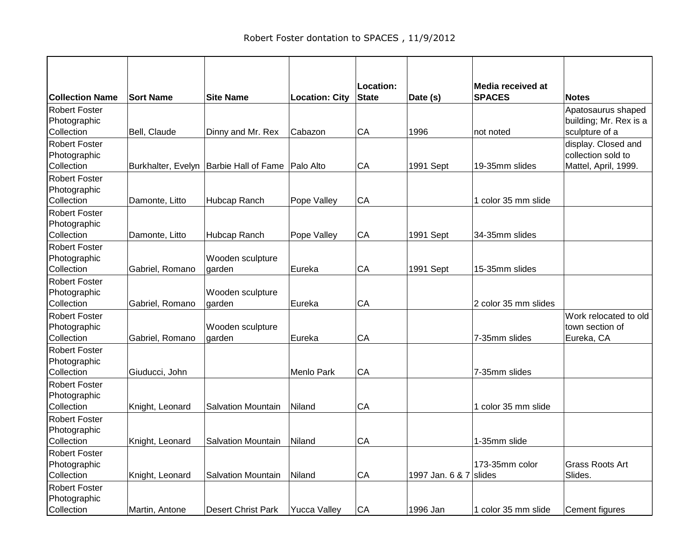| <b>Collection Name</b>                             | <b>Sort Name</b> | <b>Site Name</b>                         | <b>Location: City</b> | Location:<br><b>State</b> | Date (s)               | Media received at<br><b>SPACES</b> | <b>Notes</b>                                                      |
|----------------------------------------------------|------------------|------------------------------------------|-----------------------|---------------------------|------------------------|------------------------------------|-------------------------------------------------------------------|
| Robert Foster<br>Photographic<br>Collection        | Bell, Claude     | Dinny and Mr. Rex                        | Cabazon               | CA                        | 1996                   | not noted                          | Apatosaurus shaped<br>building; Mr. Rex is a<br>sculpture of a    |
| <b>Robert Foster</b><br>Photographic<br>Collection |                  | Burkhalter, Evelyn   Barbie Hall of Fame | Palo Alto             | CA                        | 1991 Sept              | 19-35mm slides                     | display. Closed and<br>collection sold to<br>Mattel, April, 1999. |
| <b>Robert Foster</b><br>Photographic<br>Collection | Damonte, Litto   | Hubcap Ranch                             | Pope Valley           | CA                        |                        | 1 color 35 mm slide                |                                                                   |
| <b>Robert Foster</b><br>Photographic<br>Collection | Damonte, Litto   | Hubcap Ranch                             | Pope Valley           | CA                        | 1991 Sept              | 34-35mm slides                     |                                                                   |
| <b>Robert Foster</b><br>Photographic<br>Collection | Gabriel, Romano  | Wooden sculpture<br>garden               | Eureka                | CA                        | 1991 Sept              | 15-35mm slides                     |                                                                   |
| <b>Robert Foster</b><br>Photographic<br>Collection | Gabriel, Romano  | Wooden sculpture<br>garden               | Eureka                | CA                        |                        | 2 color 35 mm slides               |                                                                   |
| <b>Robert Foster</b><br>Photographic<br>Collection | Gabriel, Romano  | Wooden sculpture<br>garden               | Eureka                | CA                        |                        | 7-35mm slides                      | Work relocated to old<br>town section of<br>Eureka, CA            |
| Robert Foster<br>Photographic<br>Collection        | Giuducci, John   |                                          | Menlo Park            | CA                        |                        | 7-35mm slides                      |                                                                   |
| <b>Robert Foster</b><br>Photographic<br>Collection | Knight, Leonard  | Salvation Mountain                       | Niland                | CA                        |                        | 1 color 35 mm slide                |                                                                   |
| <b>Robert Foster</b><br>Photographic<br>Collection | Knight, Leonard  | <b>Salvation Mountain</b>                | Niland                | CA                        |                        | 1-35mm slide                       |                                                                   |
| <b>Robert Foster</b><br>Photographic<br>Collection | Knight, Leonard  | <b>Salvation Mountain</b>                | Niland                | CA                        | 1997 Jan. 6 & 7 slides | 173-35mm color                     | Grass Roots Art<br>Slides.                                        |
| <b>Robert Foster</b><br>Photographic<br>Collection | Martin, Antone   | <b>Desert Christ Park</b>                | <b>Yucca Valley</b>   | CA                        | 1996 Jan               | 1 color 35 mm slide                | Cement figures                                                    |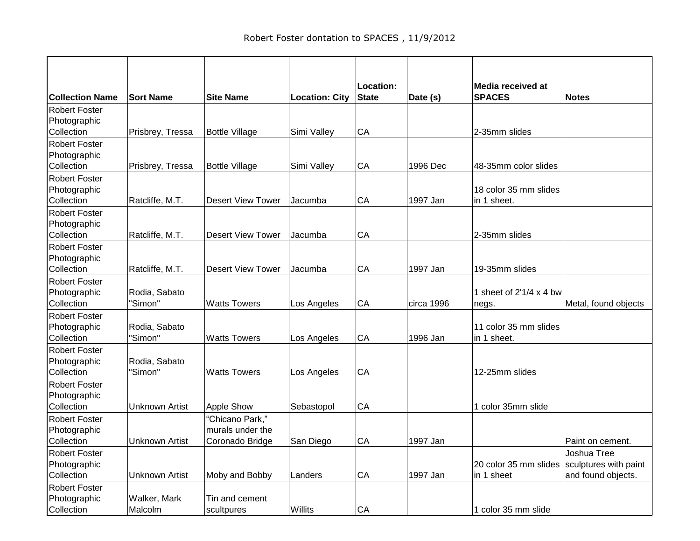| <b>Collection Name</b>               | <b>Sort Name</b>      | <b>Site Name</b>                    | <b>Location: City</b> | Location:<br><b>State</b> | Date (s)   | Media received at<br><b>SPACES</b> | <b>Notes</b>          |
|--------------------------------------|-----------------------|-------------------------------------|-----------------------|---------------------------|------------|------------------------------------|-----------------------|
| <b>Robert Foster</b>                 |                       |                                     |                       |                           |            |                                    |                       |
| Photographic<br>Collection           | Prisbrey, Tressa      | <b>Bottle Village</b>               | Simi Valley           | CA                        |            | 2-35mm slides                      |                       |
| <b>Robert Foster</b>                 |                       |                                     |                       |                           |            |                                    |                       |
| Photographic                         |                       |                                     |                       |                           |            |                                    |                       |
| Collection                           | Prisbrey, Tressa      | <b>Bottle Village</b>               | Simi Valley           | CA                        | 1996 Dec   | 48-35mm color slides               |                       |
| Robert Foster                        |                       |                                     |                       |                           |            |                                    |                       |
| Photographic                         |                       |                                     |                       |                           |            | 18 color 35 mm slides              |                       |
| Collection<br><b>Robert Foster</b>   | Ratcliffe, M.T.       | <b>Desert View Tower</b>            | Jacumba               | CA                        | 1997 Jan   | in 1 sheet.                        |                       |
| Photographic                         |                       |                                     |                       |                           |            |                                    |                       |
| Collection                           | Ratcliffe, M.T.       | <b>Desert View Tower</b>            | Jacumba               | CA                        |            | 2-35mm slides                      |                       |
| <b>Robert Foster</b>                 |                       |                                     |                       |                           |            |                                    |                       |
| Photographic                         |                       |                                     |                       |                           |            |                                    |                       |
| Collection<br>Robert Foster          | Ratcliffe, M.T.       | <b>Desert View Tower</b>            | Jacumba               | CA                        | 1997 Jan   | 19-35mm slides                     |                       |
| Photographic                         | Rodia, Sabato         |                                     |                       |                           |            | 1 sheet of 2'1/4 x 4 bw            |                       |
| Collection                           | "Simon"               | <b>Watts Towers</b>                 | Los Angeles           | CA                        | circa 1996 | negs.                              | Metal, found objects  |
| <b>Robert Foster</b>                 |                       |                                     |                       |                           |            |                                    |                       |
| Photographic                         | Rodia, Sabato         |                                     |                       |                           |            | 11 color 35 mm slides              |                       |
| Collection                           | "Simon"               | <b>Watts Towers</b>                 | Los Angeles           | CA                        | 1996 Jan   | in 1 sheet.                        |                       |
| Robert Foster<br>Photographic        | Rodia, Sabato         |                                     |                       |                           |            |                                    |                       |
| Collection                           | "Simon"               | <b>Watts Towers</b>                 | Los Angeles           | CA                        |            | 12-25mm slides                     |                       |
| <b>Robert Foster</b>                 |                       |                                     |                       |                           |            |                                    |                       |
| Photographic                         |                       |                                     |                       |                           |            |                                    |                       |
| Collection                           | <b>Unknown Artist</b> | Apple Show                          | Sebastopol            | CA                        |            | 1 color 35mm slide                 |                       |
| <b>Robert Foster</b><br>Photographic |                       | "Chicano Park,"<br>murals under the |                       |                           |            |                                    |                       |
| Collection                           | <b>Unknown Artist</b> | Coronado Bridge                     | San Diego             | CA                        | 1997 Jan   |                                    | Paint on cement.      |
| <b>Robert Foster</b>                 |                       |                                     |                       |                           |            |                                    | Joshua Tree           |
| Photographic                         |                       |                                     |                       |                           |            | 20 color 35 mm slides              | sculptures with paint |
| Collection                           | <b>Unknown Artist</b> | Moby and Bobby                      | Landers               | CA                        | 1997 Jan   | in 1 sheet                         | and found objects.    |
| <b>Robert Foster</b>                 |                       |                                     |                       |                           |            |                                    |                       |
| Photographic<br>Collection           | Walker, Mark          | Tin and cement                      | Willits               | CA                        |            | 1 color 35 mm slide                |                       |
|                                      | Malcolm               | scultpures                          |                       |                           |            |                                    |                       |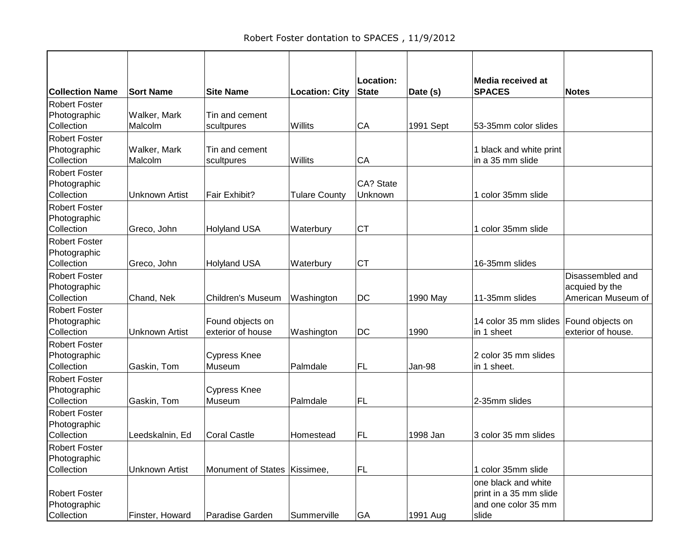| <b>Collection Name</b>               | <b>Sort Name</b>      | <b>Site Name</b>             | <b>Location: City</b> | Location:<br><b>State</b> | Date (s)  | Media received at<br><b>SPACES</b>            | <b>Notes</b>       |
|--------------------------------------|-----------------------|------------------------------|-----------------------|---------------------------|-----------|-----------------------------------------------|--------------------|
| <b>Robert Foster</b>                 |                       |                              |                       |                           |           |                                               |                    |
| Photographic                         | Walker, Mark          | Tin and cement               |                       |                           |           |                                               |                    |
| Collection                           | Malcolm               | scultpures                   | Willits               | CA                        | 1991 Sept | 53-35mm color slides                          |                    |
| <b>Robert Foster</b>                 |                       |                              |                       |                           |           |                                               |                    |
| Photographic                         | Walker, Mark          | Tin and cement               |                       |                           |           | 1 black and white print                       |                    |
| Collection                           | Malcolm               | scultpures                   | Willits               | CA                        |           | in a 35 mm slide                              |                    |
| <b>Robert Foster</b>                 |                       |                              |                       |                           |           |                                               |                    |
| Photographic                         |                       |                              |                       | CA? State                 |           |                                               |                    |
| Collection                           | Unknown Artist        | Fair Exhibit?                | <b>Tulare County</b>  | Unknown                   |           | 1 color 35mm slide                            |                    |
| <b>Robert Foster</b>                 |                       |                              |                       |                           |           |                                               |                    |
| Photographic                         |                       |                              |                       |                           |           |                                               |                    |
| Collection                           | Greco, John           | <b>Holyland USA</b>          | Waterbury             | <b>CT</b>                 |           | 1 color 35mm slide                            |                    |
| <b>Robert Foster</b>                 |                       |                              |                       |                           |           |                                               |                    |
| Photographic                         |                       |                              |                       |                           |           |                                               |                    |
| Collection                           | Greco, John           | <b>Holyland USA</b>          | Waterbury             | <b>CT</b>                 |           | 16-35mm slides                                |                    |
| <b>Robert Foster</b>                 |                       |                              |                       |                           |           |                                               | Disassembled and   |
| Photographic                         |                       |                              |                       |                           |           |                                               | acquied by the     |
| Collection                           | Chand, Nek            | <b>Children's Museum</b>     | Washington            | DC                        | 1990 May  | 11-35mm slides                                | American Museum of |
| <b>Robert Foster</b>                 |                       |                              |                       |                           |           |                                               |                    |
| Photographic                         |                       | Found objects on             |                       |                           |           | 14 color 35 mm slides Found objects on        |                    |
| Collection                           | Unknown Artist        | exterior of house            | Washington            | <b>DC</b>                 | 1990      | in 1 sheet                                    | exterior of house. |
| <b>Robert Foster</b>                 |                       |                              |                       |                           |           |                                               |                    |
| Photographic                         |                       | <b>Cypress Knee</b>          |                       |                           |           | 2 color 35 mm slides                          |                    |
| Collection                           | Gaskin, Tom           | Museum                       | Palmdale              | <b>FL</b>                 | Jan-98    | in 1 sheet.                                   |                    |
| <b>Robert Foster</b>                 |                       |                              |                       |                           |           |                                               |                    |
| Photographic                         |                       | <b>Cypress Knee</b>          |                       |                           |           |                                               |                    |
| Collection                           | Gaskin, Tom           | Museum                       | Palmdale              | <b>FL</b>                 |           | 2-35mm slides                                 |                    |
| <b>Robert Foster</b>                 |                       |                              |                       |                           |           |                                               |                    |
| Photographic                         |                       |                              |                       |                           |           |                                               |                    |
| Collection                           | Leedskalnin, Ed       | <b>Coral Castle</b>          | Homestead             | <b>FL</b>                 | 1998 Jan  | 3 color 35 mm slides                          |                    |
| <b>Robert Foster</b>                 |                       |                              |                       |                           |           |                                               |                    |
| Photographic<br>Collection           | <b>Unknown Artist</b> | Monument of States Kissimee, |                       | FL.                       |           | 1 color 35mm slide                            |                    |
|                                      |                       |                              |                       |                           |           |                                               |                    |
|                                      |                       |                              |                       |                           |           | one black and white                           |                    |
| <b>Robert Foster</b><br>Photographic |                       |                              |                       |                           |           | print in a 35 mm slide<br>and one color 35 mm |                    |
| Collection                           | Finster, Howard       | Paradise Garden              | Summerville           | GA                        | 1991 Aug  | slide                                         |                    |
|                                      |                       |                              |                       |                           |           |                                               |                    |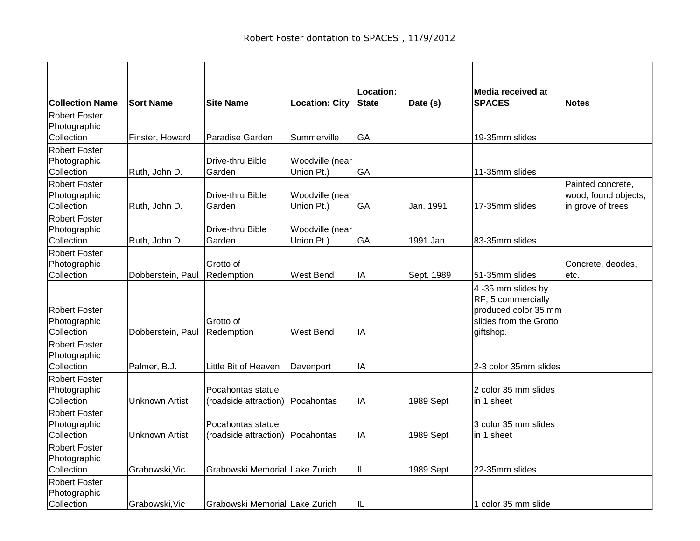|                                                    |                       |                                            |                       | Location:    |            | Media received at                                                                                       |                      |
|----------------------------------------------------|-----------------------|--------------------------------------------|-----------------------|--------------|------------|---------------------------------------------------------------------------------------------------------|----------------------|
| <b>Collection Name</b>                             | <b>Sort Name</b>      | <b>Site Name</b>                           | <b>Location: City</b> | <b>State</b> | Date (s)   | <b>SPACES</b>                                                                                           | <b>Notes</b>         |
| <b>Robert Foster</b>                               |                       |                                            |                       |              |            |                                                                                                         |                      |
| Photographic                                       |                       |                                            |                       |              |            |                                                                                                         |                      |
| Collection                                         | Finster, Howard       | Paradise Garden                            | Summerville           | GA           |            | 19-35mm slides                                                                                          |                      |
| <b>Robert Foster</b>                               |                       |                                            |                       |              |            |                                                                                                         |                      |
| Photographic                                       |                       | Drive-thru Bible                           | Woodville (near       |              |            |                                                                                                         |                      |
| Collection                                         | Ruth, John D.         | Garden                                     | Union Pt.)            | GA           |            | 11-35mm slides                                                                                          |                      |
| <b>Robert Foster</b>                               |                       |                                            |                       |              |            |                                                                                                         | Painted concrete,    |
| Photographic                                       |                       | Drive-thru Bible                           | Woodville (near       |              |            |                                                                                                         | wood, found objects, |
| Collection                                         | Ruth, John D.         | Garden                                     | Union Pt.)            | GA           | Jan. 1991  | 17-35mm slides                                                                                          | in grove of trees    |
| <b>Robert Foster</b>                               |                       |                                            |                       |              |            |                                                                                                         |                      |
| Photographic                                       |                       | Drive-thru Bible                           | Woodville (near       |              |            |                                                                                                         |                      |
| Collection                                         | Ruth, John D.         | Garden                                     | Union Pt.)            | GA           | 1991 Jan   | 83-35mm slides                                                                                          |                      |
| <b>Robert Foster</b>                               |                       |                                            |                       |              |            |                                                                                                         |                      |
| Photographic                                       |                       | Grotto of                                  |                       |              |            |                                                                                                         | Concrete, deodes,    |
| Collection                                         | Dobberstein, Paul     | Redemption                                 | West Bend             | IA           | Sept. 1989 | 51-35mm slides                                                                                          | letc.                |
| <b>Robert Foster</b><br>Photographic<br>Collection | Dobberstein, Paul     | Grotto of<br>Redemption                    | West Bend             | IA           |            | 4 -35 mm slides by<br>RF; 5 commercially<br>produced color 35 mm<br>slides from the Grotto<br>giftshop. |                      |
| <b>Robert Foster</b>                               |                       |                                            |                       |              |            |                                                                                                         |                      |
| Photographic                                       |                       |                                            |                       |              |            |                                                                                                         |                      |
| Collection                                         | Palmer, B.J.          | Little Bit of Heaven                       | Davenport             | IA           |            | 2-3 color 35mm slides                                                                                   |                      |
| <b>Robert Foster</b><br>Photographic<br>Collection | <b>Unknown Artist</b> | Pocahontas statue<br>(roadside attraction) | Pocahontas            | IA           | 1989 Sept  | 2 color 35 mm slides<br>in 1 sheet                                                                      |                      |
| <b>Robert Foster</b>                               |                       |                                            |                       |              |            |                                                                                                         |                      |
| Photographic                                       |                       | Pocahontas statue                          |                       |              |            | 3 color 35 mm slides                                                                                    |                      |
| Collection                                         | <b>Unknown Artist</b> | (roadside attraction)                      | Pocahontas            | IA           | 1989 Sept  | in 1 sheet                                                                                              |                      |
| <b>Robert Foster</b>                               |                       |                                            |                       |              |            |                                                                                                         |                      |
| Photographic                                       |                       |                                            |                       |              |            |                                                                                                         |                      |
| Collection                                         | Grabowski, Vic        | Grabowski Memorial Lake Zurich             |                       | IL           | 1989 Sept  | 22-35mm slides                                                                                          |                      |
| <b>Robert Foster</b>                               |                       |                                            |                       |              |            |                                                                                                         |                      |
| Photographic                                       |                       |                                            |                       |              |            |                                                                                                         |                      |
| Collection                                         | Grabowski, Vic        | Grabowski Memorial Lake Zurich             |                       | IL           |            | 1 color 35 mm slide                                                                                     |                      |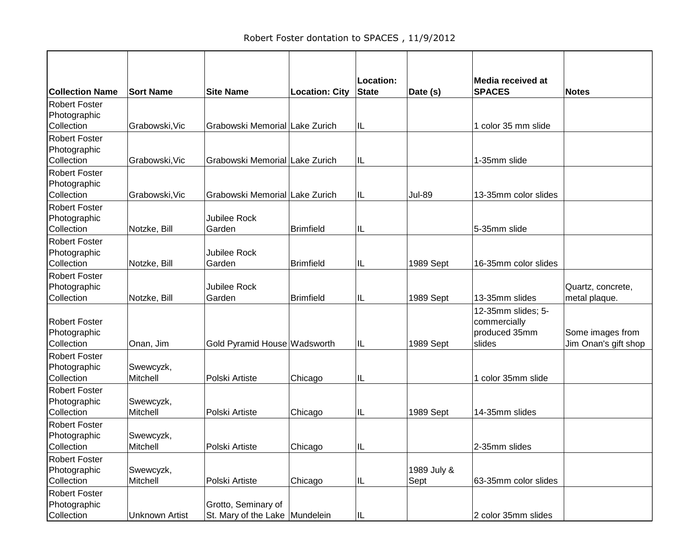|                        |                       |                                |                       | Location: |             | <b>Media received at</b> |                      |
|------------------------|-----------------------|--------------------------------|-----------------------|-----------|-------------|--------------------------|----------------------|
| <b>Collection Name</b> | <b>Sort Name</b>      | <b>Site Name</b>               | <b>Location: City</b> | State     | Date (s)    | <b>SPACES</b>            | <b>Notes</b>         |
| <b>Robert Foster</b>   |                       |                                |                       |           |             |                          |                      |
| Photographic           |                       |                                |                       |           |             |                          |                      |
| Collection             | Grabowski, Vic        | Grabowski Memorial Lake Zurich |                       | IL        |             | 1 color 35 mm slide      |                      |
| <b>Robert Foster</b>   |                       |                                |                       |           |             |                          |                      |
| Photographic           |                       |                                |                       |           |             |                          |                      |
| Collection             | Grabowski, Vic        | Grabowski Memorial Lake Zurich |                       | IL        |             | 1-35mm slide             |                      |
| <b>Robert Foster</b>   |                       |                                |                       |           |             |                          |                      |
| Photographic           |                       |                                |                       |           |             |                          |                      |
| Collection             | Grabowski, Vic        | Grabowski Memorial Lake Zurich |                       | IL        | Jul-89      | 13-35mm color slides     |                      |
| <b>Robert Foster</b>   |                       |                                |                       |           |             |                          |                      |
| Photographic           |                       | Jubilee Rock                   |                       |           |             |                          |                      |
| Collection             | Notzke, Bill          | Garden                         | <b>Brimfield</b>      | IL        |             | 5-35mm slide             |                      |
| <b>Robert Foster</b>   |                       |                                |                       |           |             |                          |                      |
| Photographic           |                       | Jubilee Rock                   |                       |           |             |                          |                      |
| Collection             | Notzke, Bill          | Garden                         | <b>Brimfield</b>      | IL        | 1989 Sept   | 16-35mm color slides     |                      |
| <b>Robert Foster</b>   |                       |                                |                       |           |             |                          |                      |
| Photographic           |                       | <b>Jubilee Rock</b>            |                       |           |             |                          | Quartz, concrete,    |
| Collection             | Notzke, Bill          | Garden                         | <b>Brimfield</b>      | IL        | 1989 Sept   | 13-35mm slides           | metal plaque.        |
|                        |                       |                                |                       |           |             | 12-35mm slides; 5-       |                      |
| <b>Robert Foster</b>   |                       |                                |                       |           |             | commercially             |                      |
| Photographic           |                       |                                |                       |           |             | produced 35mm            | Some images from     |
| Collection             | Onan, Jim             | Gold Pyramid House Wadsworth   |                       | IL        | 1989 Sept   | slides                   | Jim Onan's gift shop |
| <b>Robert Foster</b>   |                       |                                |                       |           |             |                          |                      |
| Photographic           | Swewcyzk,             |                                |                       |           |             |                          |                      |
| Collection             | Mitchell              | Polski Artiste                 | Chicago               | IL        |             | 1 color 35mm slide       |                      |
| <b>Robert Foster</b>   |                       |                                |                       |           |             |                          |                      |
| Photographic           | Swewcyzk,             |                                |                       |           |             |                          |                      |
| Collection             | Mitchell              | Polski Artiste                 | Chicago               | IL        | 1989 Sept   | 14-35mm slides           |                      |
| <b>Robert Foster</b>   |                       |                                |                       |           |             |                          |                      |
| Photographic           | Swewcyzk,             |                                |                       |           |             |                          |                      |
| Collection             | Mitchell              | Polski Artiste                 | Chicago               | Ш         |             | 2-35mm slides            |                      |
| <b>Robert Foster</b>   |                       |                                |                       |           |             |                          |                      |
| Photographic           | Swewcyzk,             |                                |                       |           | 1989 July & |                          |                      |
| Collection             | Mitchell              | Polski Artiste                 | Chicago               | IL        | Sept        | 63-35mm color slides     |                      |
| <b>Robert Foster</b>   |                       |                                |                       |           |             |                          |                      |
| Photographic           |                       | Grotto, Seminary of            |                       |           |             |                          |                      |
| Collection             | <b>Unknown Artist</b> | St. Mary of the Lake Mundelein |                       | IL        |             | 2 color 35mm slides      |                      |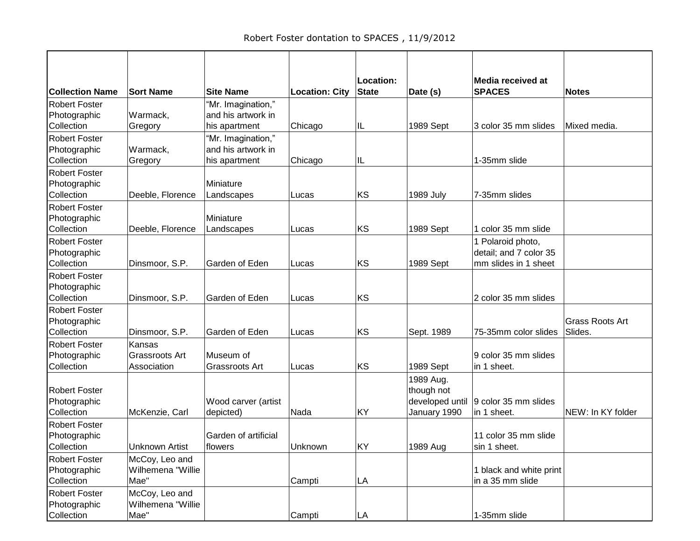|                        |                       |                      |                       | Location:    |                 | <b>Media received at</b> |                   |
|------------------------|-----------------------|----------------------|-----------------------|--------------|-----------------|--------------------------|-------------------|
| <b>Collection Name</b> | <b>Sort Name</b>      | <b>Site Name</b>     | <b>Location: City</b> | <b>State</b> | Date (s)        | <b>SPACES</b>            | <b>Notes</b>      |
| <b>Robert Foster</b>   |                       | "Mr. Imagination,"   |                       |              |                 |                          |                   |
| Photographic           | Warmack,              | and his artwork in   |                       |              |                 |                          |                   |
| Collection             | Gregory               | his apartment        | Chicago               | IL           | 1989 Sept       | 3 color 35 mm slides     | Mixed media.      |
| <b>Robert Foster</b>   |                       | "Mr. Imagination,"   |                       |              |                 |                          |                   |
| Photographic           | Warmack,              | and his artwork in   |                       |              |                 |                          |                   |
| Collection             | Gregory               | his apartment        | Chicago               | IL           |                 | 1-35mm slide             |                   |
| <b>Robert Foster</b>   |                       |                      |                       |              |                 |                          |                   |
| Photographic           |                       | Miniature            |                       |              |                 |                          |                   |
| Collection             | Deeble, Florence      | Landscapes           | Lucas                 | KS           | 1989 July       | 7-35mm slides            |                   |
| <b>Robert Foster</b>   |                       |                      |                       |              |                 |                          |                   |
| Photographic           |                       | Miniature            |                       |              |                 |                          |                   |
| Collection             | Deeble, Florence      | Landscapes           | Lucas                 | KS           | 1989 Sept       | 1 color 35 mm slide      |                   |
| <b>Robert Foster</b>   |                       |                      |                       |              |                 | 1 Polaroid photo,        |                   |
| Photographic           |                       |                      |                       |              |                 | detail; and 7 color 35   |                   |
| Collection             | Dinsmoor, S.P.        | Garden of Eden       | Lucas                 | KS           | 1989 Sept       | mm slides in 1 sheet     |                   |
| <b>Robert Foster</b>   |                       |                      |                       |              |                 |                          |                   |
| Photographic           |                       |                      |                       |              |                 |                          |                   |
| Collection             | Dinsmoor, S.P.        | Garden of Eden       | Lucas                 | KS           |                 | 2 color 35 mm slides     |                   |
| <b>Robert Foster</b>   |                       |                      |                       |              |                 |                          |                   |
| Photographic           |                       |                      |                       |              |                 |                          | Grass Roots Art   |
| Collection             | Dinsmoor, S.P.        | Garden of Eden       | Lucas                 | KS           | Sept. 1989      | 75-35mm color slides     | Slides.           |
| <b>Robert Foster</b>   | Kansas                |                      |                       |              |                 |                          |                   |
| Photographic           | Grassroots Art        | Museum of            |                       |              |                 | 9 color 35 mm slides     |                   |
| Collection             | Association           | Grassroots Art       | Lucas                 | KS           | 1989 Sept       | in 1 sheet.              |                   |
|                        |                       |                      |                       |              | 1989 Aug.       |                          |                   |
| <b>Robert Foster</b>   |                       |                      |                       |              | though not      |                          |                   |
| Photographic           |                       | Wood carver (artist  |                       |              | developed until | 9 color 35 mm slides     |                   |
| Collection             | McKenzie, Carl        | depicted)            | Nada                  | KY           | January 1990    | in 1 sheet.              | NEW: In KY folder |
| <b>Robert Foster</b>   |                       |                      |                       |              |                 |                          |                   |
| Photographic           |                       | Garden of artificial |                       |              |                 | 11 color 35 mm slide     |                   |
| Collection             | <b>Unknown Artist</b> | flowers              | Unknown               | KY           | 1989 Aug        | sin 1 sheet.             |                   |
| <b>Robert Foster</b>   | McCoy, Leo and        |                      |                       |              |                 |                          |                   |
| Photographic           | Wilhemena "Willie     |                      |                       |              |                 | 1 black and white print  |                   |
| Collection             | Mae"                  |                      | Campti                | LA           |                 | in a 35 mm slide         |                   |
| <b>Robert Foster</b>   | McCoy, Leo and        |                      |                       |              |                 |                          |                   |
| Photographic           | Wilhemena "Willie     |                      |                       |              |                 |                          |                   |
| Collection             | Mae"                  |                      | Campti                | LA           |                 | 1-35mm slide             |                   |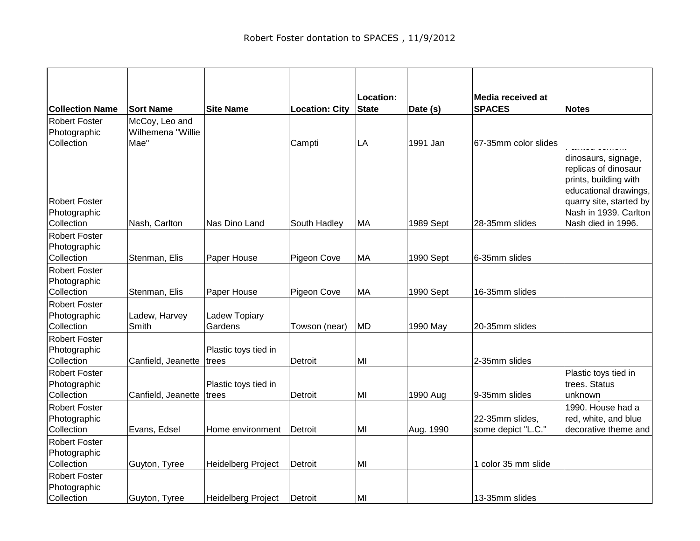|                                                    |                                     |                               |                       | Location:    |           | <b>Media received at</b>              |                                                                                                                          |
|----------------------------------------------------|-------------------------------------|-------------------------------|-----------------------|--------------|-----------|---------------------------------------|--------------------------------------------------------------------------------------------------------------------------|
| <b>Collection Name</b>                             | <b>Sort Name</b>                    | <b>Site Name</b>              | <b>Location: City</b> | <b>State</b> | Date (s)  | <b>SPACES</b>                         | <b>Notes</b>                                                                                                             |
| <b>Robert Foster</b><br>Photographic               | McCoy, Leo and<br>Wilhemena "Willie |                               |                       |              |           |                                       |                                                                                                                          |
| Collection                                         | Mae"                                |                               | Campti                | LA           | 1991 Jan  | 67-35mm color slides                  |                                                                                                                          |
| <b>Robert Foster</b>                               |                                     |                               |                       |              |           |                                       | dinosaurs, signage,<br>replicas of dinosaur<br>prints, building with<br>educational drawings,<br>quarry site, started by |
| Photographic<br>Collection                         | Nash, Carlton                       | Nas Dino Land                 |                       | МA           | 1989 Sept | 28-35mm slides                        | Nash in 1939. Carlton<br>Nash died in 1996.                                                                              |
| <b>Robert Foster</b>                               |                                     |                               | South Hadley          |              |           |                                       |                                                                                                                          |
| Photographic                                       |                                     |                               |                       |              |           |                                       |                                                                                                                          |
| Collection                                         | Stenman, Elis                       | Paper House                   | Pigeon Cove           | MA           | 1990 Sept | 6-35mm slides                         |                                                                                                                          |
| <b>Robert Foster</b>                               |                                     |                               |                       |              |           |                                       |                                                                                                                          |
| Photographic                                       |                                     |                               |                       |              |           |                                       |                                                                                                                          |
| Collection                                         | Stenman, Elis                       | Paper House                   | Pigeon Cove           | MA           | 1990 Sept | 16-35mm slides                        |                                                                                                                          |
| <b>Robert Foster</b><br>Photographic               | Ladew, Harvey<br>Smith              | Ladew Topiary<br>Gardens      |                       | <b>MD</b>    |           | 20-35mm slides                        |                                                                                                                          |
| Collection                                         |                                     |                               | Towson (near)         |              | 1990 May  |                                       |                                                                                                                          |
| <b>Robert Foster</b><br>Photographic<br>Collection | Canfield, Jeanette                  | Plastic toys tied in<br>trees | Detroit               | MI           |           | 2-35mm slides                         |                                                                                                                          |
| <b>Robert Foster</b><br>Photographic<br>Collection | Canfield, Jeanette                  | Plastic toys tied in<br>trees | Detroit               | MI           | 1990 Aug  | 9-35mm slides                         | Plastic toys tied in<br>trees. Status<br>unknown                                                                         |
| <b>Robert Foster</b><br>Photographic<br>Collection | Evans, Edsel                        | Home environment              | Detroit               | MI           | Aug. 1990 | 22-35mm slides,<br>some depict "L.C." | 1990. House had a<br>red, white, and blue<br>decorative theme and                                                        |
| <b>Robert Foster</b><br>Photographic<br>Collection | Guyton, Tyree                       | Heidelberg Project            | Detroit               | MI           |           | 1 color 35 mm slide                   |                                                                                                                          |
| <b>Robert Foster</b><br>Photographic<br>Collection | Guyton, Tyree                       | <b>Heidelberg Project</b>     | Detroit               | MI           |           | 13-35mm slides                        |                                                                                                                          |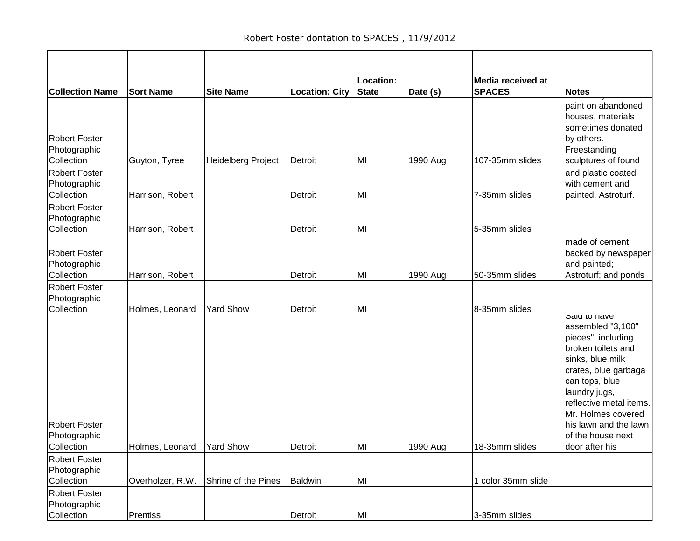| <b>Collection Name</b>                             | <b>Sort Name</b>            | <b>Site Name</b>    | <b>Location: City</b> | Location:<br><b>State</b> | Date (s) | Media received at<br><b>SPACES</b> | <b>Notes</b>                                                                                                                                                                                                                                                                  |
|----------------------------------------------------|-----------------------------|---------------------|-----------------------|---------------------------|----------|------------------------------------|-------------------------------------------------------------------------------------------------------------------------------------------------------------------------------------------------------------------------------------------------------------------------------|
| <b>Robert Foster</b><br>Photographic<br>Collection | Guyton, Tyree               | Heidelberg Project  | Detroit               | MI                        | 1990 Aug | 107-35mm slides                    | paint on abandoned<br>houses, materials<br>sometimes donated<br>by others.<br>Freestanding<br>sculptures of found                                                                                                                                                             |
| <b>Robert Foster</b><br>Photographic<br>Collection | Harrison, Robert            |                     | Detroit               | MI                        |          | 7-35mm slides                      | and plastic coated<br>with cement and<br>painted. Astroturf.                                                                                                                                                                                                                  |
| <b>Robert Foster</b><br>Photographic<br>Collection | Harrison, Robert            |                     | Detroit               | MI                        |          | 5-35mm slides                      |                                                                                                                                                                                                                                                                               |
| <b>Robert Foster</b><br>Photographic<br>Collection | Harrison, Robert            |                     | Detroit               | MI                        | 1990 Aug | 50-35mm slides                     | made of cement<br>backed by newspaper<br>and painted;<br>Astroturf; and ponds                                                                                                                                                                                                 |
| <b>Robert Foster</b><br>Photographic<br>Collection | Holmes, Leonard             | <b>Yard Show</b>    | Detroit               | MI                        |          | 8-35mm slides                      |                                                                                                                                                                                                                                                                               |
| <b>Robert Foster</b><br>Photographic<br>Collection | Holmes, Leonard   Yard Show |                     | Detroit               | MI                        | 1990 Aug | 18-35mm slides                     | Salu to have<br>assembled "3,100"<br>pieces", including<br>broken toilets and<br>sinks, blue milk<br>crates, blue garbaga<br>can tops, blue<br>laundry jugs,<br>reflective metal items.<br>Mr. Holmes covered<br>his lawn and the lawn<br>of the house next<br>door after his |
| <b>Robert Foster</b><br>Photographic<br>Collection | Overholzer, R.W.            | Shrine of the Pines | Baldwin               | MI                        |          | 1 color 35mm slide                 |                                                                                                                                                                                                                                                                               |
| <b>Robert Foster</b><br>Photographic<br>Collection | Prentiss                    |                     | Detroit               | MI                        |          | 3-35mm slides                      |                                                                                                                                                                                                                                                                               |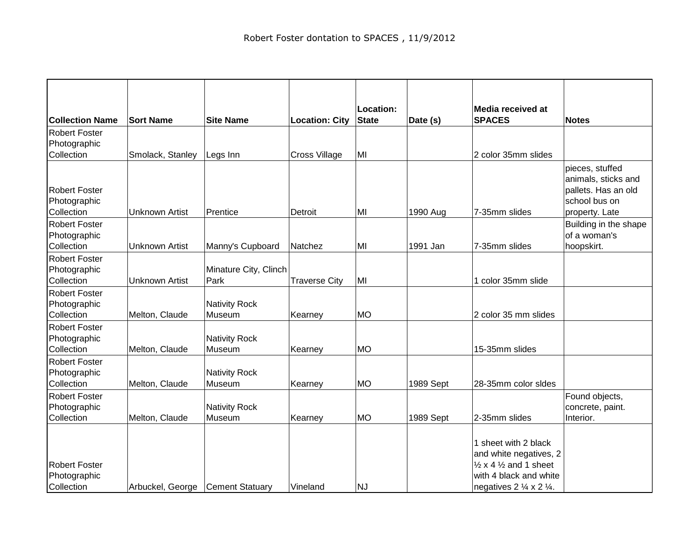| <b>Collection Name</b>                             | <b>Sort Name</b>                   | <b>Site Name</b>               | <b>Location: City</b> | Location:<br><b>State</b> | Date (s)  | Media received at<br><b>SPACES</b>                                                                                                                                          | <b>Notes</b>                                                                                     |
|----------------------------------------------------|------------------------------------|--------------------------------|-----------------------|---------------------------|-----------|-----------------------------------------------------------------------------------------------------------------------------------------------------------------------------|--------------------------------------------------------------------------------------------------|
| <b>Robert Foster</b>                               |                                    |                                |                       |                           |           |                                                                                                                                                                             |                                                                                                  |
| Photographic                                       |                                    |                                |                       |                           |           |                                                                                                                                                                             |                                                                                                  |
| Collection                                         | Smolack, Stanley                   | Legs Inn                       | <b>Cross Village</b>  | MI                        |           | 2 color 35mm slides                                                                                                                                                         |                                                                                                  |
| <b>Robert Foster</b><br>Photographic<br>Collection | <b>Unknown Artist</b>              | Prentice                       | Detroit               | MI                        | 1990 Aug  | 7-35mm slides                                                                                                                                                               | pieces, stuffed<br>animals, sticks and<br>pallets. Has an old<br>school bus on<br>property. Late |
| <b>Robert Foster</b>                               |                                    |                                |                       |                           |           |                                                                                                                                                                             | Building in the shape                                                                            |
| Photographic<br>Collection                         | <b>Unknown Artist</b>              | Manny's Cupboard               | Natchez               | MI                        | 1991 Jan  | 7-35mm slides                                                                                                                                                               | of a woman's<br>hoopskirt.                                                                       |
| <b>Robert Foster</b><br>Photographic<br>Collection | <b>Unknown Artist</b>              | Minature City, Clinch<br>Park  | <b>Traverse City</b>  | MI                        |           | 1 color 35mm slide                                                                                                                                                          |                                                                                                  |
| <b>Robert Foster</b><br>Photographic<br>Collection | Melton, Claude                     | <b>Nativity Rock</b><br>Museum | Kearney               | <b>MO</b>                 |           | 2 color 35 mm slides                                                                                                                                                        |                                                                                                  |
| <b>Robert Foster</b><br>Photographic<br>Collection | Melton, Claude                     | <b>Nativity Rock</b><br>Museum | Kearney               | <b>MO</b>                 |           | 15-35mm slides                                                                                                                                                              |                                                                                                  |
| <b>Robert Foster</b><br>Photographic<br>Collection | Melton, Claude                     | <b>Nativity Rock</b><br>Museum | Kearney               | <b>MO</b>                 | 1989 Sept | 28-35mm color sides                                                                                                                                                         |                                                                                                  |
| <b>Robert Foster</b><br>Photographic<br>Collection | Melton, Claude                     | <b>Nativity Rock</b><br>Museum | Kearney               | MO                        | 1989 Sept | 2-35mm slides                                                                                                                                                               | Found objects,<br>concrete, paint.<br>Interior.                                                  |
| <b>Robert Foster</b><br>Photographic<br>Collection | Arbuckel, George   Cement Statuary |                                | Vineland              | NJ                        |           | 1 sheet with 2 black<br>and white negatives, 2<br>$\frac{1}{2}$ x 4 $\frac{1}{2}$ and 1 sheet<br>with 4 black and white<br>negatives $2 \frac{1}{4} \times 2 \frac{1}{4}$ . |                                                                                                  |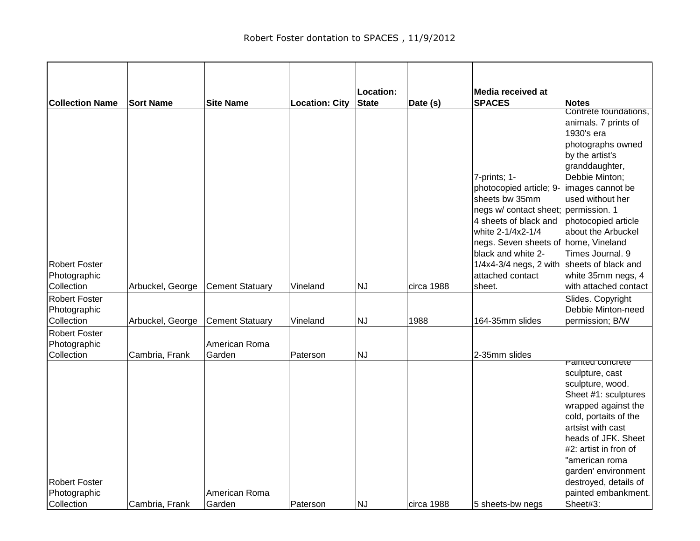|                        |                  |                        |                       | Location: |            | Media received at                    |                                               |
|------------------------|------------------|------------------------|-----------------------|-----------|------------|--------------------------------------|-----------------------------------------------|
| <b>Collection Name</b> | <b>Sort Name</b> | <b>Site Name</b>       | <b>Location: City</b> | State     | Date (s)   | <b>SPACES</b>                        | <b>Notes</b>                                  |
|                        |                  |                        |                       |           |            |                                      | Contrete foundations,<br>animals. 7 prints of |
|                        |                  |                        |                       |           |            |                                      | 1930's era                                    |
|                        |                  |                        |                       |           |            |                                      | photographs owned                             |
|                        |                  |                        |                       |           |            |                                      | by the artist's                               |
|                        |                  |                        |                       |           |            |                                      | granddaughter,                                |
|                        |                  |                        |                       |           |            | 7-prints; 1-                         | Debbie Minton;                                |
|                        |                  |                        |                       |           |            | photocopied article; 9-              | images cannot be                              |
|                        |                  |                        |                       |           |            | sheets bw 35mm                       | used without her                              |
|                        |                  |                        |                       |           |            | negs w/ contact sheet; permission. 1 |                                               |
|                        |                  |                        |                       |           |            | 4 sheets of black and                | photocopied article                           |
|                        |                  |                        |                       |           |            | white 2-1/4x2-1/4                    | about the Arbuckel                            |
|                        |                  |                        |                       |           |            | negs. Seven sheets of home, Vineland |                                               |
|                        |                  |                        |                       |           |            | black and white 2-                   | Times Journal. 9                              |
| <b>Robert Foster</b>   |                  |                        |                       |           |            | $1/4x4-3/4$ negs, 2 with             | sheets of black and                           |
| Photographic           |                  |                        |                       |           |            | attached contact                     | white 35mm negs, 4                            |
| Collection             | Arbuckel, George | <b>Cement Statuary</b> | Vineland              | <b>NJ</b> | circa 1988 | sheet.                               | with attached contact                         |
| <b>Robert Foster</b>   |                  |                        |                       |           |            |                                      | Slides. Copyright                             |
| Photographic           |                  |                        |                       |           |            |                                      | Debbie Minton-need                            |
| Collection             | Arbuckel, George | <b>Cement Statuary</b> | Vineland              | NJ        | 1988       | 164-35mm slides                      | permission; B/W                               |
| <b>Robert Foster</b>   |                  |                        |                       |           |            |                                      |                                               |
| Photographic           |                  | American Roma          |                       |           |            |                                      |                                               |
| Collection             | Cambria, Frank   | Garden                 | Paterson              | NJ        |            | 2-35mm slides                        | Painted concrete                              |
|                        |                  |                        |                       |           |            |                                      | sculpture, cast                               |
|                        |                  |                        |                       |           |            |                                      | sculpture, wood.                              |
|                        |                  |                        |                       |           |            |                                      | Sheet #1: sculptures                          |
|                        |                  |                        |                       |           |            |                                      | wrapped against the                           |
|                        |                  |                        |                       |           |            |                                      | cold, portaits of the                         |
|                        |                  |                        |                       |           |            |                                      | artsist with cast                             |
|                        |                  |                        |                       |           |            |                                      | heads of JFK. Sheet                           |
|                        |                  |                        |                       |           |            |                                      | #2: artist in fron of                         |
|                        |                  |                        |                       |           |            |                                      | "american roma                                |
|                        |                  |                        |                       |           |            |                                      | garden' environment                           |
| <b>Robert Foster</b>   |                  |                        |                       |           |            |                                      | destroyed, details of                         |
| Photographic           |                  | American Roma          |                       |           |            |                                      | painted embankment.                           |
| Collection             | Cambria, Frank   | Garden                 | Paterson              | NJ        | circa 1988 | 5 sheets-bw negs                     | Sheet#3:                                      |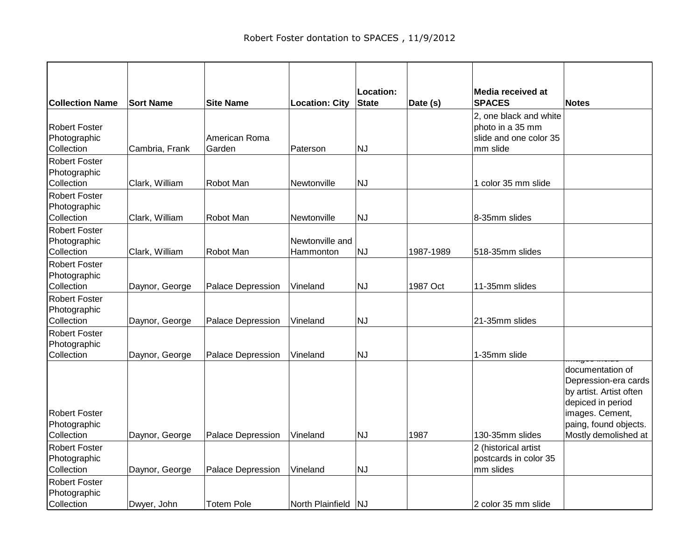| <b>Collection Name</b>                             | <b>Sort Name</b> | <b>Site Name</b>         | <b>Location: City</b>        | Location:<br><b>State</b> | Date (s)  | Media received at<br><b>SPACES</b>                                               | <b>Notes</b>                                                                                                                                                 |
|----------------------------------------------------|------------------|--------------------------|------------------------------|---------------------------|-----------|----------------------------------------------------------------------------------|--------------------------------------------------------------------------------------------------------------------------------------------------------------|
| <b>Robert Foster</b><br>Photographic<br>Collection | Cambria, Frank   | American Roma<br>Garden  | Paterson                     | <b>NJ</b>                 |           | 2, one black and white<br>photo in a 35 mm<br>slide and one color 35<br>mm slide |                                                                                                                                                              |
| <b>Robert Foster</b><br>Photographic<br>Collection | Clark, William   | Robot Man                | Newtonville                  | <b>NJ</b>                 |           | 1 color 35 mm slide                                                              |                                                                                                                                                              |
| <b>Robert Foster</b><br>Photographic<br>Collection | Clark, William   | Robot Man                | Newtonville                  | <b>NJ</b>                 |           | 8-35mm slides                                                                    |                                                                                                                                                              |
| <b>Robert Foster</b><br>Photographic<br>Collection | Clark, William   | Robot Man                | Newtonville and<br>Hammonton | <b>NJ</b>                 | 1987-1989 | 518-35mm slides                                                                  |                                                                                                                                                              |
| <b>Robert Foster</b><br>Photographic<br>Collection | Daynor, George   | <b>Palace Depression</b> | Vineland                     | <b>NJ</b>                 | 1987 Oct  | 11-35mm slides                                                                   |                                                                                                                                                              |
| <b>Robert Foster</b><br>Photographic<br>Collection | Daynor, George   | Palace Depression        | Vineland                     | <b>NJ</b>                 |           | 21-35mm slides                                                                   |                                                                                                                                                              |
| <b>Robert Foster</b><br>Photographic<br>Collection | Daynor, George   | Palace Depression        | Vineland                     | <b>NJ</b>                 |           | 1-35mm slide                                                                     |                                                                                                                                                              |
| <b>Robert Foster</b><br>Photographic<br>Collection | Daynor, George   | Palace Depression        | Vineland                     | <b>NJ</b>                 | 1987      | 130-35mm slides                                                                  | documentation of<br>Depression-era cards<br>by artist. Artist often<br>depiced in period<br>images. Cement,<br>paing, found objects.<br>Mostly demolished at |
| <b>Robert Foster</b><br>Photographic<br>Collection | Daynor, George   | Palace Depression        | Vineland                     | <b>NJ</b>                 |           | 2 (historical artist<br>postcards in color 35<br>mm slides                       |                                                                                                                                                              |
| <b>Robert Foster</b><br>Photographic<br>Collection | Dwyer, John      | <b>Totem Pole</b>        | North Plainfield NJ          |                           |           | 2 color 35 mm slide                                                              |                                                                                                                                                              |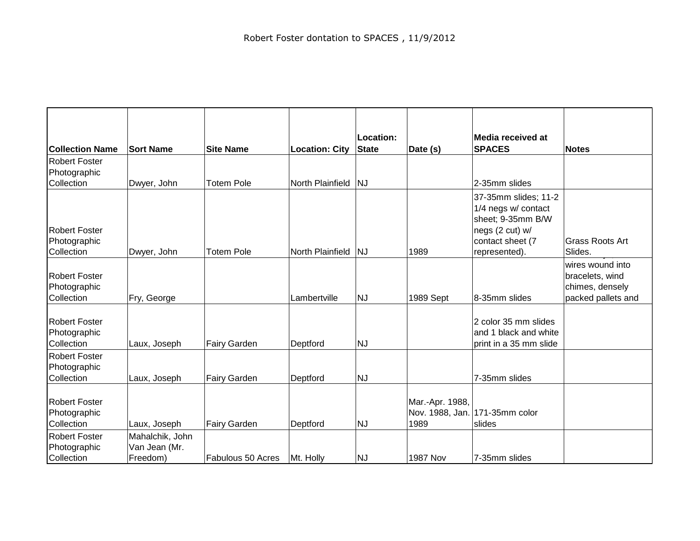| <b>Collection Name</b>                             | <b>Sort Name</b> | <b>Site Name</b>    | <b>Location: City</b> | Location:<br><b>State</b> | Date (s)                | Media received at<br><b>SPACES</b>                                                                                       | <b>Notes</b>                      |
|----------------------------------------------------|------------------|---------------------|-----------------------|---------------------------|-------------------------|--------------------------------------------------------------------------------------------------------------------------|-----------------------------------|
| <b>Robert Foster</b>                               |                  |                     |                       |                           |                         |                                                                                                                          |                                   |
| Photographic                                       |                  |                     |                       |                           |                         |                                                                                                                          |                                   |
| Collection                                         | Dwyer, John      | <b>Totem Pole</b>   | North Plainfield      | NJ                        |                         | 2-35mm slides                                                                                                            |                                   |
| <b>Robert Foster</b><br>Photographic<br>Collection | Dwyer, John      | <b>Totem Pole</b>   | North Plainfield      | NJ                        | 1989                    | 37-35mm slides; 11-2<br>1/4 negs w/ contact<br>sheet; 9-35mm B/W<br>negs (2 cut) w/<br>contact sheet (7<br>represented). | <b>Grass Roots Art</b><br>Slides. |
|                                                    |                  |                     |                       |                           |                         |                                                                                                                          | wires wound into                  |
| <b>Robert Foster</b>                               |                  |                     |                       |                           |                         |                                                                                                                          | bracelets, wind                   |
| Photographic                                       |                  |                     |                       |                           |                         |                                                                                                                          | chimes, densely                   |
| Collection                                         | Fry, George      |                     | Lambertville          | <b>NJ</b>                 | 1989 Sept               | 8-35mm slides                                                                                                            | packed pallets and                |
| <b>Robert Foster</b><br>Photographic<br>Collection | Laux, Joseph     | Fairy Garden        | Deptford              | <b>NJ</b>                 |                         | 2 color 35 mm slides<br>and 1 black and white<br>print in a 35 mm slide                                                  |                                   |
| <b>Robert Foster</b>                               |                  |                     |                       |                           |                         |                                                                                                                          |                                   |
| Photographic                                       |                  |                     |                       |                           |                         |                                                                                                                          |                                   |
| Collection                                         | Laux, Joseph     | <b>Fairy Garden</b> | Deptford              | <b>NJ</b>                 |                         | 7-35mm slides                                                                                                            |                                   |
| <b>Robert Foster</b><br>Photographic<br>Collection | Laux, Joseph     | Fairy Garden        | Deptford              | <b>NJ</b>                 | Mar.-Apr. 1988,<br>1989 | Nov. 1988, Jan. 171-35mm color<br>slides                                                                                 |                                   |
| <b>Robert Foster</b>                               | Mahalchik, John  |                     |                       |                           |                         |                                                                                                                          |                                   |
| Photographic                                       | Van Jean (Mr.    |                     |                       |                           |                         |                                                                                                                          |                                   |
| Collection                                         | Freedom)         | Fabulous 50 Acres   | Mt. Holly             | <b>NJ</b>                 | <b>1987 Nov</b>         | 7-35mm slides                                                                                                            |                                   |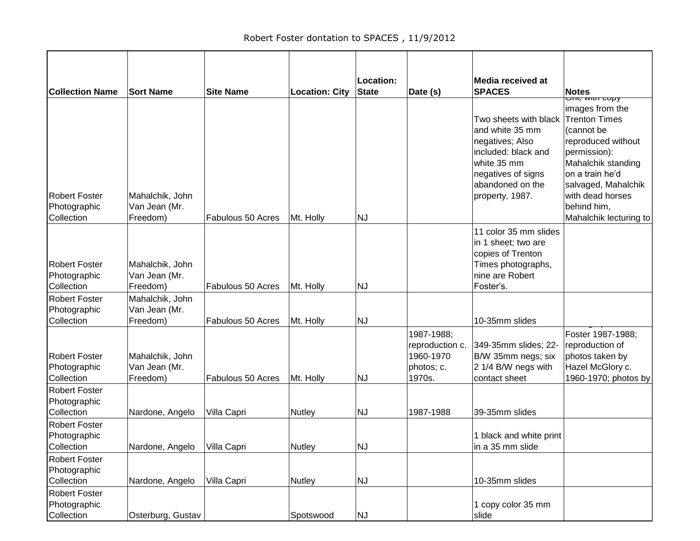|                                                                            |                                                                 |                   |                       | Location:    |                                                                    | Media received at                                                                                                                                              |                                                                                                                                                                                                                                                     |
|----------------------------------------------------------------------------|-----------------------------------------------------------------|-------------------|-----------------------|--------------|--------------------------------------------------------------------|----------------------------------------------------------------------------------------------------------------------------------------------------------------|-----------------------------------------------------------------------------------------------------------------------------------------------------------------------------------------------------------------------------------------------------|
| <b>Collection Name</b>                                                     | <b>Sort Name</b>                                                | <b>Site Name</b>  | <b>Location: City</b> | <b>State</b> | Date (s)                                                           | <b>SPACES</b>                                                                                                                                                  | <b>Notes</b>                                                                                                                                                                                                                                        |
| <b>Robert Foster</b><br>Photographic<br>Collection                         | Mahalchik, John<br>Van Jean (Mr.<br>Freedom)                    | Fabulous 50 Acres | Mt. Holly             | NJ           |                                                                    | Two sheets with black<br>and white 35 mm<br>negatives; Also<br>included: black and<br>white 35 mm<br>negatives of signs<br>abandoned on the<br>property, 1987. | <del>טוופ אומו כט</del><br>images from the<br><b>Trenton Times</b><br>(cannot be<br>reproduced without<br>permission):<br>Mahalchik standing<br>on a train he'd<br>salvaged, Mahalchik<br>with dead horses<br>behind him,<br>Mahalchik lecturing to |
| <b>Robert Foster</b><br>Photographic<br>Collection<br><b>Robert Foster</b> | Mahalchik, John<br>Van Jean (Mr.<br>Freedom)<br>Mahalchik, John | Fabulous 50 Acres | Mt. Holly             | <b>NJ</b>    |                                                                    | 11 color 35 mm slides<br>in 1 sheet; two are<br>copies of Trenton<br>Times photographs,<br>nine are Robert<br>Foster's.                                        |                                                                                                                                                                                                                                                     |
| Photographic<br>Collection                                                 | Van Jean (Mr.<br>Freedom)                                       | Fabulous 50 Acres | Mt. Holly             | NJ           |                                                                    | 10-35mm slides                                                                                                                                                 |                                                                                                                                                                                                                                                     |
| <b>Robert Foster</b><br>Photographic<br>Collection                         | Mahalchik, John<br>Van Jean (Mr.<br>Freedom)                    | Fabulous 50 Acres | Mt. Holly             | NJ           | 1987-1988;<br>reproduction c.<br>1960-1970<br>photos; c.<br>1970s. | 349-35mm slides; 22-<br>B/W 35mm negs; six<br>2 1/4 B/W negs with<br>contact sheet                                                                             | Foster 1987-1988;<br>reproduction of<br>photos taken by<br>Hazel McGlory c.<br>1960-1970; photos by                                                                                                                                                 |
| <b>Robert Foster</b><br>Photographic<br>Collection                         | Nardone, Angelo                                                 | Villa Capri       | Nutley                | NJ           | 1987-1988                                                          | 39-35mm slides                                                                                                                                                 |                                                                                                                                                                                                                                                     |
| <b>Robert Foster</b><br>Photographic<br>Collection                         | Nardone, Angelo Villa Capri                                     |                   | Nutley                | NJ           |                                                                    | 1 black and white print<br>in a 35 mm slide                                                                                                                    |                                                                                                                                                                                                                                                     |
| <b>Robert Foster</b><br>Photographic<br>Collection                         | Nardone, Angelo                                                 | Villa Capri       | Nutley                | NJ           |                                                                    | 10-35mm slides                                                                                                                                                 |                                                                                                                                                                                                                                                     |
| <b>Robert Foster</b><br>Photographic<br>Collection                         | Osterburg, Gustav                                               |                   | Spotswood             | NJ           |                                                                    | 1 copy color 35 mm<br>slide                                                                                                                                    |                                                                                                                                                                                                                                                     |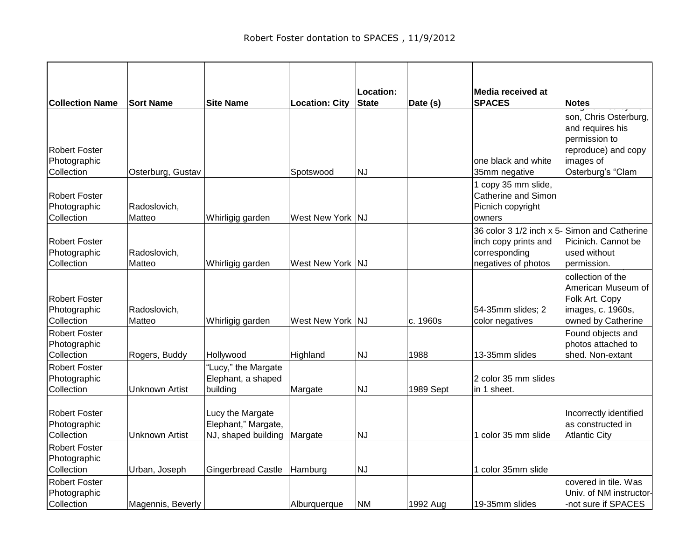| <b>Collection Name</b>     | <b>Sort Name</b>      | <b>Site Name</b>                           | <b>Location: City</b> | Location:<br><b>State</b> | Date (s)  | Media received at<br><b>SPACES</b> | <b>Notes</b>                              |
|----------------------------|-----------------------|--------------------------------------------|-----------------------|---------------------------|-----------|------------------------------------|-------------------------------------------|
|                            |                       |                                            |                       |                           |           |                                    |                                           |
|                            |                       |                                            |                       |                           |           |                                    | son, Chris Osterburg,<br>and requires his |
|                            |                       |                                            |                       |                           |           |                                    | permission to                             |
| <b>Robert Foster</b>       |                       |                                            |                       |                           |           |                                    | reproduce) and copy                       |
| Photographic               |                       |                                            |                       |                           |           | one black and white                | images of                                 |
| Collection                 | Osterburg, Gustav     |                                            | Spotswood             | <b>NJ</b>                 |           | 35mm negative                      | Osterburg's "Clam                         |
|                            |                       |                                            |                       |                           |           | 1 copy 35 mm slide,                |                                           |
| <b>Robert Foster</b>       |                       |                                            |                       |                           |           | Catherine and Simon                |                                           |
| Photographic               | Radoslovich,          |                                            |                       |                           |           | Picnich copyright                  |                                           |
| Collection                 | Matteo                | Whirligig garden                           | West New York         | NJ                        |           | owners                             |                                           |
|                            |                       |                                            |                       |                           |           | 36 color 3 1/2 inch x 5-           | Simon and Catherine                       |
| <b>Robert Foster</b>       |                       |                                            |                       |                           |           | inch copy prints and               | Picinich. Cannot be                       |
| Photographic<br>Collection | Radoslovich,          |                                            | West New York NJ      |                           |           | corresponding                      | used without                              |
|                            | Matteo                | Whirligig garden                           |                       |                           |           | negatives of photos                | permission.                               |
|                            |                       |                                            |                       |                           |           |                                    | collection of the<br>American Museum of   |
| <b>Robert Foster</b>       |                       |                                            |                       |                           |           |                                    | Folk Art. Copy                            |
| Photographic               | Radoslovich,          |                                            |                       |                           |           | 54-35mm slides; 2                  | images, c. 1960s,                         |
| Collection                 | Matteo                | Whirligig garden                           | West New York   NJ    |                           | c. 1960s  | color negatives                    | owned by Catherine                        |
| <b>Robert Foster</b>       |                       |                                            |                       |                           |           |                                    | Found objects and                         |
| Photographic               |                       |                                            |                       |                           |           |                                    | photos attached to                        |
| Collection                 | Rogers, Buddy         | Hollywood                                  | Highland              | <b>NJ</b>                 | 1988      | 13-35mm slides                     | shed. Non-extant                          |
| <b>Robert Foster</b>       |                       | "Lucy," the Margate                        |                       |                           |           |                                    |                                           |
| Photographic               |                       | Elephant, a shaped                         |                       |                           |           | 2 color 35 mm slides               |                                           |
| Collection                 | <b>Unknown Artist</b> | building                                   | Margate               | <b>NJ</b>                 | 1989 Sept | in 1 sheet.                        |                                           |
|                            |                       |                                            |                       |                           |           |                                    |                                           |
| <b>Robert Foster</b>       |                       | Lucy the Margate                           |                       |                           |           |                                    | Incorrectly identified                    |
| Photographic<br>Collection | <b>Unknown Artist</b> | Elephant," Margate,<br>NJ, shaped building |                       | <b>NJ</b>                 |           | 1 color 35 mm slide                | as constructed in<br><b>Atlantic City</b> |
| <b>Robert Foster</b>       |                       |                                            | Margate               |                           |           |                                    |                                           |
| Photographic               |                       |                                            |                       |                           |           |                                    |                                           |
| Collection                 | Urban, Joseph         | <b>Gingerbread Castle</b>                  | Hamburg               | <b>NJ</b>                 |           | 1 color 35mm slide                 |                                           |
| <b>Robert Foster</b>       |                       |                                            |                       |                           |           |                                    | covered in tile. Was                      |
| Photographic               |                       |                                            |                       |                           |           |                                    | Univ. of NM instructor-                   |
| Collection                 | Magennis, Beverly     |                                            | Alburquerque          | <b>NM</b>                 | 1992 Aug  | 19-35mm slides                     | -not sure if SPACES                       |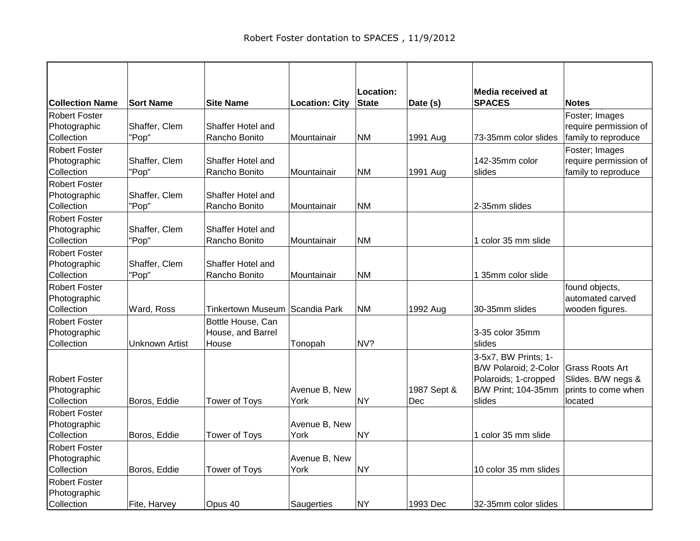| <b>Collection Name</b> | <b>Sort Name</b>      | <b>Site Name</b>                 | <b>Location: City</b> | Location:<br><b>State</b> | Date (s)    | Media received at<br><b>SPACES</b> | <b>Notes</b>           |
|------------------------|-----------------------|----------------------------------|-----------------------|---------------------------|-------------|------------------------------------|------------------------|
| <b>Robert Foster</b>   |                       |                                  |                       |                           |             |                                    | Foster; Images         |
| Photographic           | Shaffer, Clem         | Shaffer Hotel and                |                       |                           |             |                                    | require permission of  |
| Collection             | "Pop"                 | Rancho Bonito                    | Mountainair           | <b>NM</b>                 | 1991 Aug    | 73-35mm color slides               | family to reproduce    |
| <b>Robert Foster</b>   |                       |                                  |                       |                           |             |                                    | Foster; Images         |
| Photographic           | Shaffer, Clem         | Shaffer Hotel and                |                       |                           |             | 142-35mm color                     | require permission of  |
| Collection             | "Pop"                 | Rancho Bonito                    | Mountainair           | <b>NM</b>                 | 1991 Aug    | slides                             | family to reproduce    |
| Robert Foster          |                       |                                  |                       |                           |             |                                    |                        |
| Photographic           | Shaffer, Clem         | Shaffer Hotel and                |                       |                           |             |                                    |                        |
| Collection             | "Pop"                 | Rancho Bonito                    | Mountainair           | <b>NM</b>                 |             | 2-35mm slides                      |                        |
| <b>Robert Foster</b>   |                       |                                  |                       |                           |             |                                    |                        |
| Photographic           | Shaffer, Clem         | Shaffer Hotel and                |                       |                           |             |                                    |                        |
| Collection             | "Pop"                 | Rancho Bonito                    | Mountainair           | NM                        |             | 1 color 35 mm slide                |                        |
| <b>Robert Foster</b>   |                       |                                  |                       |                           |             |                                    |                        |
| Photographic           | Shaffer, Clem         | Shaffer Hotel and                |                       |                           |             |                                    |                        |
| Collection             | "Pop"                 | Rancho Bonito                    | Mountainair           | <b>NM</b>                 |             | 1 35mm color slide                 |                        |
| <b>Robert Foster</b>   |                       |                                  |                       |                           |             |                                    | found objects,         |
| Photographic           |                       |                                  |                       |                           |             |                                    | automated carved       |
| Collection             | Ward, Ross            | Tinkertown Museum   Scandia Park |                       | <b>NM</b>                 | 1992 Aug    | 30-35mm slides                     | wooden figures.        |
| <b>Robert Foster</b>   |                       | Bottle House, Can                |                       |                           |             |                                    |                        |
| Photographic           |                       | House, and Barrel                |                       |                           |             | 3-35 color 35mm                    |                        |
| Collection             | <b>Unknown Artist</b> | House                            | Tonopah               | NV?                       |             | slides                             |                        |
|                        |                       |                                  |                       |                           |             | 3-5x7, BW Prints; 1-               |                        |
|                        |                       |                                  |                       |                           |             | B/W Polaroid; 2-Color              | <b>Grass Roots Art</b> |
| <b>Robert Foster</b>   |                       |                                  |                       |                           |             | Polaroids; 1-cropped               | Slides. B/W negs &     |
| Photographic           |                       |                                  | Avenue B, New         |                           | 1987 Sept & | B/W Print; 104-35mm                | prints to come when    |
| Collection             | Boros, Eddie          | <b>Tower of Toys</b>             | York                  | <b>NY</b>                 | Dec         | slides                             | located                |
| <b>Robert Foster</b>   |                       |                                  |                       |                           |             |                                    |                        |
| Photographic           |                       |                                  | Avenue B, New         |                           |             |                                    |                        |
| Collection             | Boros, Eddie          | <b>Tower of Toys</b>             | York                  | <b>NY</b>                 |             | 1 color 35 mm slide                |                        |
| <b>Robert Foster</b>   |                       |                                  |                       |                           |             |                                    |                        |
| Photographic           |                       |                                  | Avenue B, New         |                           |             |                                    |                        |
| Collection             | Boros, Eddie          | Tower of Toys                    | York                  | <b>NY</b>                 |             | 10 color 35 mm slides              |                        |
| <b>Robert Foster</b>   |                       |                                  |                       |                           |             |                                    |                        |
| Photographic           |                       |                                  |                       |                           |             |                                    |                        |
| Collection             | Fite, Harvey          | Opus 40                          | Saugerties            | <b>NY</b>                 | 1993 Dec    | 32-35mm color slides               |                        |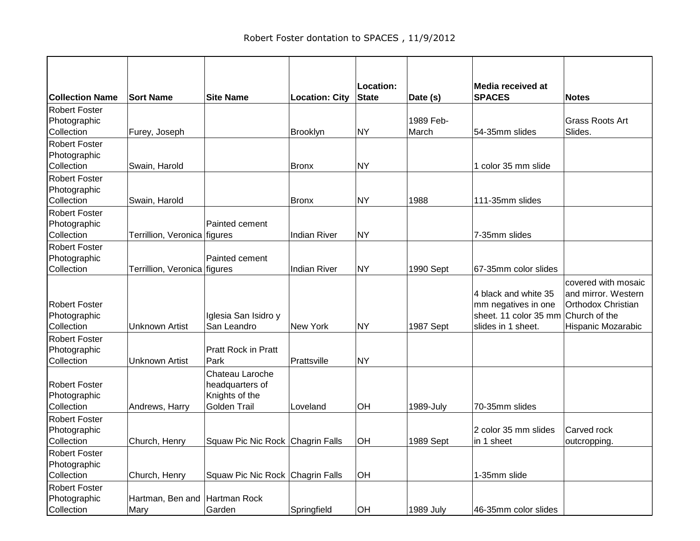|                                                    |                              |                                                          |                       | Location:    |                    | Media received at                                                                          |                                                                                                         |
|----------------------------------------------------|------------------------------|----------------------------------------------------------|-----------------------|--------------|--------------------|--------------------------------------------------------------------------------------------|---------------------------------------------------------------------------------------------------------|
| <b>Collection Name</b>                             | <b>Sort Name</b>             | <b>Site Name</b>                                         | <b>Location: City</b> | <b>State</b> | Date (s)           | <b>SPACES</b>                                                                              | <b>Notes</b>                                                                                            |
| <b>Robert Foster</b>                               |                              |                                                          |                       |              |                    |                                                                                            |                                                                                                         |
| Photographic<br>Collection                         | Furey, Joseph                |                                                          | Brooklyn              | <b>NY</b>    | 1989 Feb-<br>March | 54-35mm slides                                                                             | <b>Grass Roots Art</b><br>Slides.                                                                       |
| <b>Robert Foster</b>                               |                              |                                                          |                       |              |                    |                                                                                            |                                                                                                         |
| Photographic                                       |                              |                                                          |                       |              |                    |                                                                                            |                                                                                                         |
| Collection                                         | Swain, Harold                |                                                          | <b>Bronx</b>          | NY           |                    | 1 color 35 mm slide                                                                        |                                                                                                         |
| Robert Foster                                      |                              |                                                          |                       |              |                    |                                                                                            |                                                                                                         |
| Photographic                                       |                              |                                                          |                       |              |                    |                                                                                            |                                                                                                         |
| Collection                                         | Swain, Harold                |                                                          | <b>Bronx</b>          | NY)          | 1988               | 111-35mm slides                                                                            |                                                                                                         |
| <b>Robert Foster</b>                               |                              |                                                          |                       |              |                    |                                                                                            |                                                                                                         |
| Photographic                                       |                              | Painted cement                                           |                       |              |                    |                                                                                            |                                                                                                         |
| Collection                                         | Terrillion, Veronica figures |                                                          | <b>Indian River</b>   | <b>NY</b>    |                    | 7-35mm slides                                                                              |                                                                                                         |
| <b>Robert Foster</b>                               |                              |                                                          |                       |              |                    |                                                                                            |                                                                                                         |
| Photographic                                       |                              | Painted cement                                           |                       |              |                    |                                                                                            |                                                                                                         |
| Collection                                         | Terrillion, Veronica figures |                                                          | <b>Indian River</b>   | NY           | 1990 Sept          | 67-35mm color slides                                                                       |                                                                                                         |
| <b>Robert Foster</b><br>Photographic<br>Collection | <b>Unknown Artist</b>        | Iglesia San Isidro y<br>San Leandro                      | New York              | <b>NY</b>    | 1987 Sept          | 4 black and white 35<br>mm negatives in one<br>sheet. 11 color 35 mm<br>slides in 1 sheet. | covered with mosaic<br>and mirror. Western<br>Orthodox Christian<br>Church of the<br>Hispanic Mozarabic |
| <b>Robert Foster</b>                               |                              |                                                          |                       |              |                    |                                                                                            |                                                                                                         |
| Photographic<br>Collection                         | <b>Unknown Artist</b>        | <b>Pratt Rock in Pratt</b><br>Park                       | Prattsville           | <b>NY</b>    |                    |                                                                                            |                                                                                                         |
|                                                    |                              | Chateau Laroche                                          |                       |              |                    |                                                                                            |                                                                                                         |
| <b>Robert Foster</b><br>Photographic<br>Collection | Andrews, Harry               | headquarters of<br>Knights of the<br><b>Golden Trail</b> | Loveland              | OH           | 1989-July          | 70-35mm slides                                                                             |                                                                                                         |
| <b>Robert Foster</b>                               |                              |                                                          |                       |              |                    |                                                                                            |                                                                                                         |
| Photographic<br>Collection                         |                              | Squaw Pic Nic Rock Chagrin Falls                         |                       | OH           | 1989 Sept          | 2 color 35 mm slides<br>in 1 sheet                                                         | Carved rock                                                                                             |
|                                                    | Church, Henry                |                                                          |                       |              |                    |                                                                                            | outcropping.                                                                                            |
| <b>Robert Foster</b><br>Photographic               |                              |                                                          |                       |              |                    |                                                                                            |                                                                                                         |
| Collection                                         | Church, Henry                | Squaw Pic Nic Rock Chagrin Falls                         |                       | OH           |                    | 1-35mm slide                                                                               |                                                                                                         |
| <b>Robert Foster</b><br>Photographic<br>Collection | Hartman, Ben and<br>Mary     | Hartman Rock<br>Garden                                   | Springfield           | OH           | 1989 July          | 46-35mm color slides                                                                       |                                                                                                         |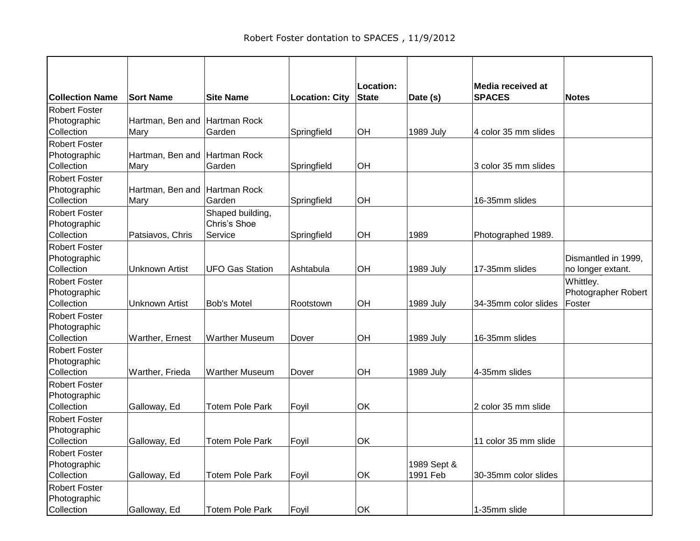| <b>Collection Name</b> | <b>Sort Name</b>              | <b>Site Name</b>       | <b>Location: City</b> | Location:<br><b>State</b> | Date (s)         | Media received at<br><b>SPACES</b> | <b>Notes</b>        |
|------------------------|-------------------------------|------------------------|-----------------------|---------------------------|------------------|------------------------------------|---------------------|
| <b>Robert Foster</b>   |                               |                        |                       |                           |                  |                                    |                     |
| Photographic           | Hartman, Ben and Hartman Rock |                        |                       |                           |                  |                                    |                     |
| Collection             | Mary                          | Garden                 | Springfield           | OH                        | 1989 July        | 4 color 35 mm slides               |                     |
| <b>Robert Foster</b>   |                               |                        |                       |                           |                  |                                    |                     |
| Photographic           | Hartman, Ben and Hartman Rock |                        |                       |                           |                  |                                    |                     |
| Collection             | Mary                          | Garden                 | Springfield           | OH                        |                  | 3 color 35 mm slides               |                     |
| <b>Robert Foster</b>   |                               |                        |                       |                           |                  |                                    |                     |
| Photographic           | Hartman, Ben and              | Hartman Rock           |                       |                           |                  |                                    |                     |
| Collection             | Mary                          | Garden                 | Springfield           | OH                        |                  | 16-35mm slides                     |                     |
| <b>Robert Foster</b>   |                               | Shaped building,       |                       |                           |                  |                                    |                     |
| Photographic           |                               | Chris's Shoe           |                       |                           |                  |                                    |                     |
| Collection             | Patsiavos, Chris              | Service                | Springfield           | OH                        | 1989             | Photographed 1989.                 |                     |
| <b>Robert Foster</b>   |                               |                        |                       |                           |                  |                                    |                     |
| Photographic           |                               |                        |                       |                           |                  |                                    | Dismantled in 1999, |
| Collection             | <b>Unknown Artist</b>         | <b>UFO Gas Station</b> | Ashtabula             | OH                        | 1989 July        | 17-35mm slides                     | no longer extant.   |
| <b>Robert Foster</b>   |                               |                        |                       |                           |                  |                                    | Whittley.           |
| Photographic           |                               |                        |                       |                           |                  |                                    | Photographer Robert |
| Collection             | <b>Unknown Artist</b>         | <b>Bob's Motel</b>     | Rootstown             | OH                        | <b>1989 July</b> | 34-35mm color slides               | Foster              |
| <b>Robert Foster</b>   |                               |                        |                       |                           |                  |                                    |                     |
| Photographic           |                               |                        |                       |                           |                  |                                    |                     |
| Collection             | Warther, Ernest               | <b>Warther Museum</b>  | Dover                 | OH                        | <b>1989 July</b> | 16-35mm slides                     |                     |
| <b>Robert Foster</b>   |                               |                        |                       |                           |                  |                                    |                     |
| Photographic           |                               |                        |                       |                           |                  |                                    |                     |
| Collection             | Warther, Frieda               | <b>Warther Museum</b>  | Dover                 | OH                        | 1989 July        | 4-35mm slides                      |                     |
| Robert Foster          |                               |                        |                       |                           |                  |                                    |                     |
| Photographic           |                               |                        |                       |                           |                  |                                    |                     |
| Collection             | Galloway, Ed                  | <b>Totem Pole Park</b> | Foyil                 | OK                        |                  | 2 color 35 mm slide                |                     |
| <b>Robert Foster</b>   |                               |                        |                       |                           |                  |                                    |                     |
| Photographic           |                               |                        |                       |                           |                  |                                    |                     |
| Collection             | Galloway, Ed                  | <b>Totem Pole Park</b> | Foyil                 | OK                        |                  | 11 color 35 mm slide               |                     |
| <b>Robert Foster</b>   |                               |                        |                       |                           |                  |                                    |                     |
| Photographic           |                               |                        |                       |                           | 1989 Sept &      |                                    |                     |
| Collection             | Galloway, Ed                  | <b>Totem Pole Park</b> | Foyil                 | OK                        | 1991 Feb         | 30-35mm color slides               |                     |
| <b>Robert Foster</b>   |                               |                        |                       |                           |                  |                                    |                     |
| Photographic           |                               |                        |                       |                           |                  |                                    |                     |
| Collection             | Galloway, Ed                  | Totem Pole Park        | Foyil                 | OK                        |                  | 1-35mm slide                       |                     |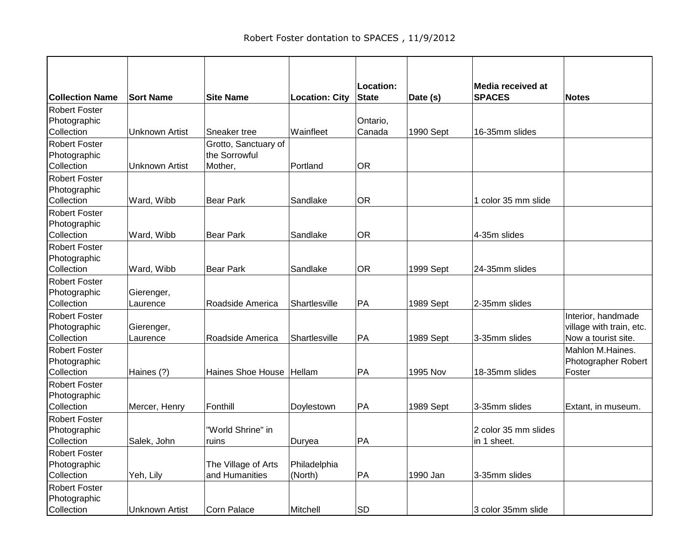|                                                    |                        |                                                  |                         | Location:          |           | Media received at                   |                                                                       |
|----------------------------------------------------|------------------------|--------------------------------------------------|-------------------------|--------------------|-----------|-------------------------------------|-----------------------------------------------------------------------|
| <b>Collection Name</b>                             | <b>Sort Name</b>       | <b>Site Name</b>                                 | <b>Location: City</b>   | <b>State</b>       | Date (s)  | <b>SPACES</b>                       | <b>Notes</b>                                                          |
| <b>Robert Foster</b><br>Photographic<br>Collection | <b>Unknown Artist</b>  | Sneaker tree                                     | Wainfleet               | Ontario,<br>Canada | 1990 Sept | 16-35mm slides                      |                                                                       |
| <b>Robert Foster</b><br>Photographic<br>Collection | Unknown Artist         | Grotto, Sanctuary of<br>the Sorrowful<br>Mother, | Portland                | <b>OR</b>          |           |                                     |                                                                       |
| Robert Foster<br>Photographic<br>Collection        | Ward, Wibb             | <b>Bear Park</b>                                 | Sandlake                | <b>OR</b>          |           | 1 color 35 mm slide                 |                                                                       |
| <b>Robert Foster</b><br>Photographic<br>Collection | Ward, Wibb             | <b>Bear Park</b>                                 | Sandlake                | <b>OR</b>          |           | 4-35m slides                        |                                                                       |
| <b>Robert Foster</b><br>Photographic<br>Collection | Ward, Wibb             | Bear Park                                        | Sandlake                | <b>OR</b>          | 1999 Sept | 24-35mm slides                      |                                                                       |
| <b>Robert Foster</b><br>Photographic<br>Collection | Gierenger,<br>Laurence | Roadside America                                 | Shartlesville           | PA                 | 1989 Sept | 2-35mm slides                       |                                                                       |
| <b>Robert Foster</b><br>Photographic<br>Collection | Gierenger,<br>Laurence | Roadside America                                 | Shartlesville           | PA                 | 1989 Sept | 3-35mm slides                       | Interior, handmade<br>village with train, etc.<br>Now a tourist site. |
| <b>Robert Foster</b><br>Photographic<br>Collection | Haines (?)             | Haines Shoe House Hellam                         |                         | PA                 | 1995 Nov  | 18-35mm slides                      | Mahlon M.Haines.<br>Photographer Robert<br>Foster                     |
| <b>Robert Foster</b><br>Photographic<br>Collection | Mercer, Henry          | Fonthill                                         | Doylestown              | PA                 | 1989 Sept | 3-35mm slides                       | Extant, in museum.                                                    |
| <b>Robert Foster</b><br>Photographic<br>Collection | Salek, John            | "World Shrine" in<br>ruins                       | Duryea                  | PA                 |           | 2 color 35 mm slides<br>in 1 sheet. |                                                                       |
| Robert Foster<br>Photographic<br>Collection        | Yeh, Lily              | The Village of Arts<br>and Humanities            | Philadelphia<br>(North) | PA                 | 1990 Jan  | 3-35mm slides                       |                                                                       |
| <b>Robert Foster</b><br>Photographic<br>Collection | Unknown Artist         | Corn Palace                                      | Mitchell                | <b>SD</b>          |           | 3 color 35mm slide                  |                                                                       |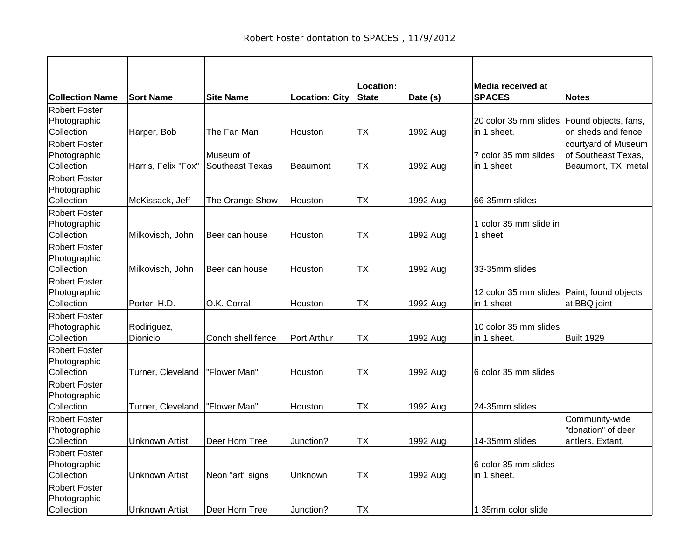| <b>Sort Name</b>        | <b>Site Name</b>                                                                                                           | <b>Location: City</b>                                                                                      | <b>State</b>                                           | Date (s)                                                           | <b>SPACES</b>                                            | <b>Notes</b>                                                                                                                                                          |
|-------------------------|----------------------------------------------------------------------------------------------------------------------------|------------------------------------------------------------------------------------------------------------|--------------------------------------------------------|--------------------------------------------------------------------|----------------------------------------------------------|-----------------------------------------------------------------------------------------------------------------------------------------------------------------------|
|                         |                                                                                                                            |                                                                                                            |                                                        |                                                                    |                                                          |                                                                                                                                                                       |
| Harper, Bob             | The Fan Man                                                                                                                | Houston                                                                                                    | <b>TX</b>                                              | 1992 Aug                                                           | in 1 sheet.                                              | Found objects, fans,<br>on sheds and fence                                                                                                                            |
|                         | Museum of                                                                                                                  |                                                                                                            |                                                        |                                                                    | 7 color 35 mm slides                                     | courtyard of Museum<br>of Southeast Texas,<br>Beaumont, TX, metal                                                                                                     |
|                         |                                                                                                                            |                                                                                                            |                                                        |                                                                    |                                                          |                                                                                                                                                                       |
|                         |                                                                                                                            | Houston                                                                                                    |                                                        |                                                                    | 66-35mm slides                                           |                                                                                                                                                                       |
| Milkovisch, John        | Beer can house                                                                                                             | Houston                                                                                                    | <b>TX</b>                                              | 1992 Aug                                                           | 1 color 35 mm slide in<br>1 sheet                        |                                                                                                                                                                       |
|                         |                                                                                                                            |                                                                                                            |                                                        |                                                                    | 33-35mm slides                                           |                                                                                                                                                                       |
|                         |                                                                                                                            |                                                                                                            |                                                        |                                                                    |                                                          |                                                                                                                                                                       |
| Porter, H.D.            | O.K. Corral                                                                                                                | Houston                                                                                                    | ТX                                                     | 1992 Aug                                                           | in 1 sheet                                               | at BBQ joint                                                                                                                                                          |
| Rodiriguez,<br>Dionicio | Conch shell fence                                                                                                          | Port Arthur                                                                                                | <b>TX</b>                                              | 1992 Aug                                                           | 10 color 35 mm slides<br>in 1 sheet.                     | <b>Built 1929</b>                                                                                                                                                     |
|                         |                                                                                                                            |                                                                                                            |                                                        |                                                                    |                                                          |                                                                                                                                                                       |
|                         |                                                                                                                            |                                                                                                            |                                                        |                                                                    |                                                          |                                                                                                                                                                       |
| Turner, Cleveland       | "Flower Man"                                                                                                               | Houston                                                                                                    | <b>TX</b>                                              | 1992 Aug                                                           | 24-35mm slides                                           |                                                                                                                                                                       |
| Unknown Artist          | Deer Horn Tree                                                                                                             | Junction?                                                                                                  | <b>TX</b>                                              | 1992 Aug                                                           | 14-35mm slides                                           | Community-wide<br>"donation" of deer<br>antlers. Extant.                                                                                                              |
|                         |                                                                                                                            |                                                                                                            |                                                        |                                                                    | 6 color 35 mm slides                                     |                                                                                                                                                                       |
|                         |                                                                                                                            |                                                                                                            |                                                        |                                                                    |                                                          |                                                                                                                                                                       |
|                         |                                                                                                                            |                                                                                                            |                                                        |                                                                    |                                                          |                                                                                                                                                                       |
|                         | Harris, Felix "Fox"<br>McKissack, Jeff<br>Milkovisch, John<br>Turner, Cleveland<br><b>Unknown Artist</b><br>Unknown Artist | Southeast Texas<br>The Orange Show<br>Beer can house<br>"Flower Man"<br>Neon "art" signs<br>Deer Horn Tree | Beaumont<br>Houston<br>Houston<br>Unknown<br>Junction? | Location:<br>ТX<br><b>TX</b><br>TX<br>TХ<br><b>TX</b><br><b>TX</b> | 1992 Aug<br>1992 Aug<br>1992 Aug<br>1992 Aug<br>1992 Aug | Media received at<br>20 color 35 mm slides<br>in 1 sheet<br>12 color 35 mm slides   Paint, found objects<br>6 color 35 mm slides<br>in 1 sheet.<br>1 35mm color slide |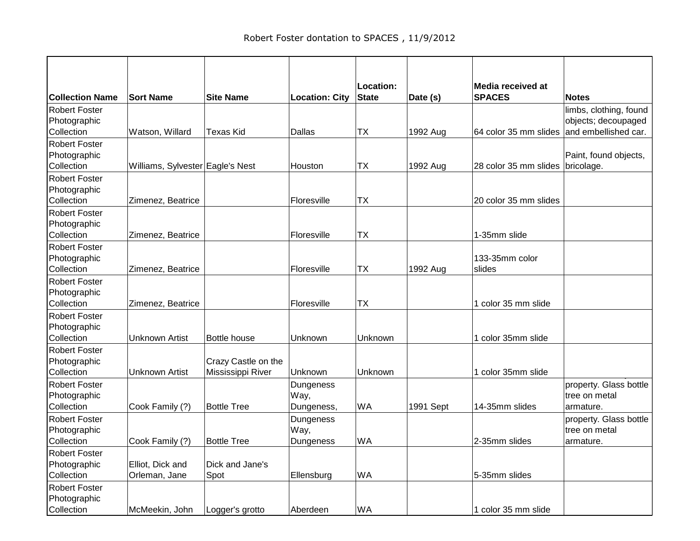| <b>Collection Name</b>                             | <b>Sort Name</b>                  | <b>Site Name</b>                         | <b>Location: City</b>           | Location:<br><b>State</b> | Date (s)  | Media received at<br><b>SPACES</b> | <b>Notes</b>                                                          |
|----------------------------------------------------|-----------------------------------|------------------------------------------|---------------------------------|---------------------------|-----------|------------------------------------|-----------------------------------------------------------------------|
| <b>Robert Foster</b><br>Photographic<br>Collection | Watson, Willard                   | <b>Texas Kid</b>                         | Dallas                          | <b>TX</b>                 | 1992 Aug  | 64 color 35 mm slides              | limbs, clothing, found<br>objects; decoupaged<br>and embellished car. |
| <b>Robert Foster</b><br>Photographic<br>Collection | Williams, Sylvester Eagle's Nest  |                                          | Houston                         | ТX                        | 1992 Aug  | 28 color 35 mm slides bricolage.   | Paint, found objects,                                                 |
| <b>Robert Foster</b><br>Photographic<br>Collection | Zimenez, Beatrice                 |                                          | Floresville                     | <b>TX</b>                 |           | 20 color 35 mm slides              |                                                                       |
| <b>Robert Foster</b><br>Photographic<br>Collection | Zimenez, Beatrice                 |                                          | Floresville                     | <b>TX</b>                 |           | 1-35mm slide                       |                                                                       |
| <b>Robert Foster</b><br>Photographic<br>Collection | Zimenez, Beatrice                 |                                          | Floresville                     | <b>TX</b>                 | 1992 Aug  | 133-35mm color<br>slides           |                                                                       |
| <b>Robert Foster</b><br>Photographic<br>Collection | Zimenez, Beatrice                 |                                          | Floresville                     | <b>TX</b>                 |           | 1 color 35 mm slide                |                                                                       |
| <b>Robert Foster</b><br>Photographic<br>Collection | <b>Unknown Artist</b>             | <b>Bottle house</b>                      | Unknown                         | Unknown                   |           | 1 color 35mm slide                 |                                                                       |
| <b>Robert Foster</b><br>Photographic<br>Collection | Unknown Artist                    | Crazy Castle on the<br>Mississippi River | Unknown                         | Unknown                   |           | 1 color 35mm slide                 |                                                                       |
| Robert Foster<br>Photographic<br>Collection        | Cook Family (?)                   | <b>Bottle Tree</b>                       | Dungeness<br>Way,<br>Dungeness, | <b>WA</b>                 | 1991 Sept | 14-35mm slides                     | property. Glass bottle<br>tree on metal<br>armature.                  |
| <b>Robert Foster</b><br>Photographic<br>Collection | Cook Family (?)                   | <b>Bottle Tree</b>                       | Dungeness<br>Way,<br>Dungeness  | <b>WA</b>                 |           | 2-35mm slides                      | property. Glass bottle<br>tree on metal<br>armature.                  |
| Robert Foster<br>Photographic<br>Collection        | Elliot, Dick and<br>Orleman, Jane | Dick and Jane's<br>Spot                  | Ellensburg                      | <b>WA</b>                 |           | 5-35mm slides                      |                                                                       |
| <b>Robert Foster</b><br>Photographic<br>Collection | McMeekin, John                    | Logger's grotto                          | Aberdeen                        | WA                        |           | 1 color 35 mm slide                |                                                                       |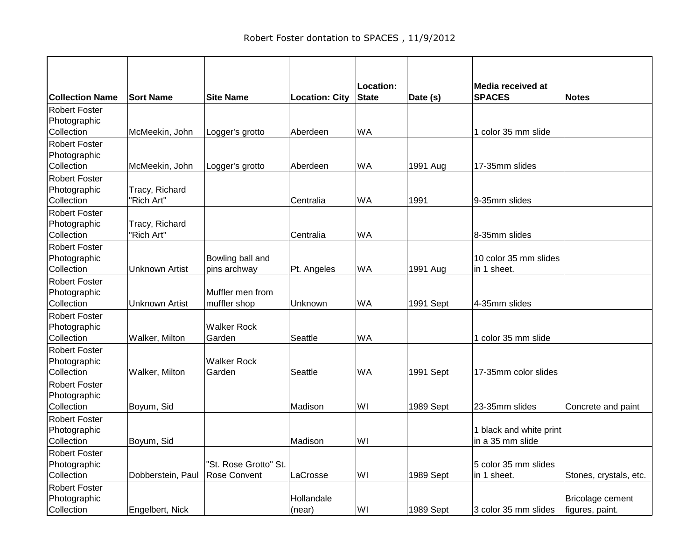|                                                    |                              |                                       |                       | Location:    |           | Media received at                           |                                     |
|----------------------------------------------------|------------------------------|---------------------------------------|-----------------------|--------------|-----------|---------------------------------------------|-------------------------------------|
| <b>Collection Name</b>                             | <b>Sort Name</b>             | <b>Site Name</b>                      | <b>Location: City</b> | <b>State</b> | Date (s)  | <b>SPACES</b>                               | <b>Notes</b>                        |
| <b>Robert Foster</b><br>Photographic<br>Collection | McMeekin, John               | Logger's grotto                       | Aberdeen              | <b>WA</b>    |           | 1 color 35 mm slide                         |                                     |
| <b>Robert Foster</b><br>Photographic<br>Collection | McMeekin, John               | Logger's grotto                       | Aberdeen              | <b>WA</b>    | 1991 Aug  | 17-35mm slides                              |                                     |
| <b>Robert Foster</b><br>Photographic<br>Collection | Tracy, Richard<br>"Rich Art" |                                       | Centralia             | <b>WA</b>    | 1991      | 9-35mm slides                               |                                     |
| <b>Robert Foster</b><br>Photographic<br>Collection | Tracy, Richard<br>"Rich Art" |                                       | Centralia             | <b>WA</b>    |           | 8-35mm slides                               |                                     |
| <b>Robert Foster</b><br>Photographic<br>Collection | <b>Unknown Artist</b>        | Bowling ball and<br>pins archway      | Pt. Angeles           | <b>WA</b>    | 1991 Aug  | 10 color 35 mm slides<br>in 1 sheet.        |                                     |
| <b>Robert Foster</b><br>Photographic<br>Collection | Unknown Artist               | Muffler men from<br>muffler shop      | Unknown               | <b>WA</b>    | 1991 Sept | 4-35mm slides                               |                                     |
| <b>Robert Foster</b><br>Photographic<br>Collection | Walker, Milton               | <b>Walker Rock</b><br>Garden          | Seattle               | <b>WA</b>    |           | 1 color 35 mm slide                         |                                     |
| <b>Robert Foster</b><br>Photographic<br>Collection | Walker, Milton               | <b>Walker Rock</b><br>Garden          | Seattle               | <b>WA</b>    | 1991 Sept | 17-35mm color slides                        |                                     |
| <b>Robert Foster</b><br>Photographic<br>Collection | Boyum, Sid                   |                                       | Madison               | WI           | 1989 Sept | 23-35mm slides                              | Concrete and paint                  |
| <b>Robert Foster</b><br>Photographic<br>Collection | Boyum, Sid                   |                                       | Madison               | WI           |           | 1 black and white print<br>in a 35 mm slide |                                     |
| <b>Robert Foster</b><br>Photographic<br>Collection | Dobberstein, Paul            | "St. Rose Grotto" St.<br>Rose Convent | LaCrosse              | WI           | 1989 Sept | 5 color 35 mm slides<br>in 1 sheet.         | Stones, crystals, etc.              |
| <b>Robert Foster</b><br>Photographic<br>Collection | Engelbert, Nick              |                                       | Hollandale<br>(near)  | WI           | 1989 Sept | 3 color 35 mm slides                        | Bricolage cement<br>figures, paint. |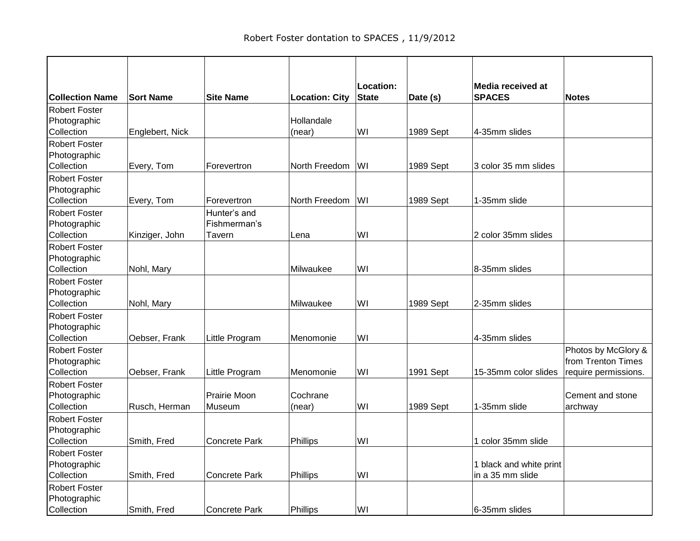| <b>Collection Name</b>                             | <b>Sort Name</b> | <b>Site Name</b>             | <b>Location: City</b> | Location:<br><b>State</b> | Date (s)  | Media received at<br><b>SPACES</b>          | <b>Notes</b>                              |
|----------------------------------------------------|------------------|------------------------------|-----------------------|---------------------------|-----------|---------------------------------------------|-------------------------------------------|
| <b>Robert Foster</b><br>Photographic               |                  |                              | Hollandale            |                           |           |                                             |                                           |
| Collection                                         | Englebert, Nick  |                              | (near)                | WI                        | 1989 Sept | 4-35mm slides                               |                                           |
| <b>Robert Foster</b><br>Photographic<br>Collection |                  |                              | North Freedom         | WI                        |           | 3 color 35 mm slides                        |                                           |
| <b>Robert Foster</b>                               | Every, Tom       | Forevertron                  |                       |                           | 1989 Sept |                                             |                                           |
| Photographic<br>Collection                         | Every, Tom       | Forevertron                  | North Freedom         | WI                        | 1989 Sept | 1-35mm slide                                |                                           |
| <b>Robert Foster</b><br>Photographic               |                  | Hunter's and<br>Fishmerman's |                       |                           |           |                                             |                                           |
| Collection                                         | Kinziger, John   | Tavern                       | Lena                  | WI                        |           | 2 color 35mm slides                         |                                           |
| <b>Robert Foster</b><br>Photographic<br>Collection | Nohl, Mary       |                              | Milwaukee             | WI                        |           | 8-35mm slides                               |                                           |
| Robert Foster                                      |                  |                              |                       |                           |           |                                             |                                           |
| Photographic<br>Collection                         | Nohl, Mary       |                              | Milwaukee             | WI                        | 1989 Sept | 2-35mm slides                               |                                           |
| <b>Robert Foster</b><br>Photographic<br>Collection | Oebser, Frank    | Little Program               | Menomonie             | WI                        |           | 4-35mm slides                               |                                           |
| <b>Robert Foster</b><br>Photographic               |                  |                              |                       |                           |           |                                             | Photos by McGlory &<br>from Trenton Times |
| Collection<br><b>Robert Foster</b>                 | Oebser, Frank    | Little Program               | Menomonie             | WI                        | 1991 Sept | 15-35mm color slides                        | require permissions.                      |
| Photographic<br>Collection                         | Rusch, Herman    | Prairie Moon<br>Museum       | Cochrane<br>(near)    | WI                        | 1989 Sept | 1-35mm slide                                | Cement and stone<br>archway               |
| <b>Robert Foster</b><br>Photographic<br>Collection | Smith, Fred      | <b>Concrete Park</b>         | Phillips              | WI                        |           | 1 color 35mm slide                          |                                           |
| Robert Foster                                      |                  |                              |                       |                           |           |                                             |                                           |
| Photographic<br>Collection                         | Smith, Fred      | <b>Concrete Park</b>         | Phillips              | WI                        |           | 1 black and white print<br>in a 35 mm slide |                                           |
| <b>Robert Foster</b><br>Photographic<br>Collection | Smith, Fred      |                              | Phillips              | WI                        |           | 6-35mm slides                               |                                           |
|                                                    |                  | <b>Concrete Park</b>         |                       |                           |           |                                             |                                           |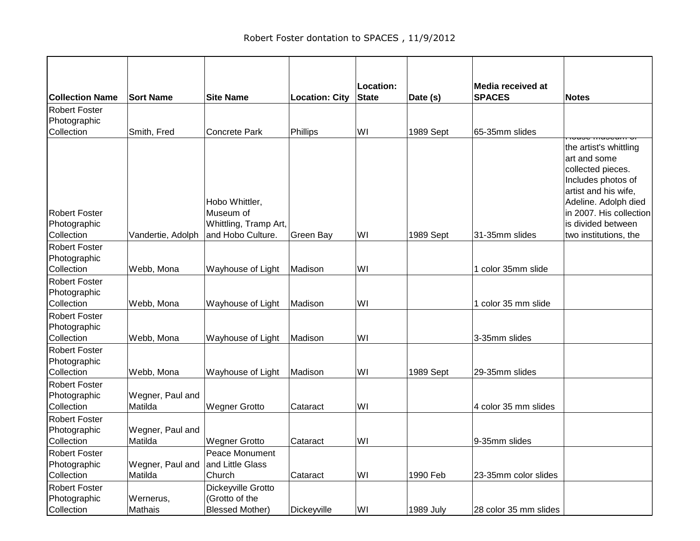|                                                    |                             |                                                                           |                       | Location:    |                  | Media received at     |                                                                                                                                                                                                             |
|----------------------------------------------------|-----------------------------|---------------------------------------------------------------------------|-----------------------|--------------|------------------|-----------------------|-------------------------------------------------------------------------------------------------------------------------------------------------------------------------------------------------------------|
| <b>Collection Name</b>                             | <b>Sort Name</b>            | <b>Site Name</b>                                                          | <b>Location: City</b> | <b>State</b> | Date (s)         | <b>SPACES</b>         | <b>Notes</b>                                                                                                                                                                                                |
| <b>Robert Foster</b><br>Photographic<br>Collection | Smith, Fred                 | Concrete Park                                                             | Phillips              | WI           | 1989 Sept        | 65-35mm slides        |                                                                                                                                                                                                             |
| <b>Robert Foster</b><br>Photographic<br>Collection | Vandertie, Adolph           | Hobo Whittler,<br>Museum of<br>Whittling, Tramp Art,<br>and Hobo Culture. | Green Bay             | WI           | 1989 Sept        | 31-35mm slides        | the artist's whittling<br>art and some<br>collected pieces.<br>Includes photos of<br>artist and his wife,<br>Adeline. Adolph died<br>in 2007. His collection<br>is divided between<br>two institutions, the |
| <b>Robert Foster</b>                               |                             |                                                                           |                       |              |                  |                       |                                                                                                                                                                                                             |
| Photographic<br>Collection                         | Webb, Mona                  | Wayhouse of Light                                                         | Madison               | WI           |                  | 1 color 35mm slide    |                                                                                                                                                                                                             |
| <b>Robert Foster</b><br>Photographic<br>Collection | Webb, Mona                  | Wayhouse of Light                                                         | Madison               | WI           |                  | 1 color 35 mm slide   |                                                                                                                                                                                                             |
| <b>Robert Foster</b><br>Photographic<br>Collection | Webb, Mona                  | Wayhouse of Light                                                         | Madison               | WI           |                  | 3-35mm slides         |                                                                                                                                                                                                             |
| Robert Foster<br>Photographic<br>Collection        | Webb, Mona                  | Wayhouse of Light                                                         | Madison               | WI           | 1989 Sept        | 29-35mm slides        |                                                                                                                                                                                                             |
| <b>Robert Foster</b><br>Photographic<br>Collection | Wegner, Paul and<br>Matilda | <b>Wegner Grotto</b>                                                      | Cataract              | WI           |                  | 4 color 35 mm slides  |                                                                                                                                                                                                             |
| <b>Robert Foster</b><br>Photographic<br>Collection | Wegner, Paul and<br>Matilda | <b>Wegner Grotto</b>                                                      | Cataract              | WI           |                  | 9-35mm slides         |                                                                                                                                                                                                             |
| <b>Robert Foster</b><br>Photographic<br>Collection | Wegner, Paul and<br>Matilda | Peace Monument<br>and Little Glass<br>Church                              | Cataract              | WI           | 1990 Feb         | 23-35mm color slides  |                                                                                                                                                                                                             |
| <b>Robert Foster</b><br>Photographic<br>Collection | Wernerus,<br>Mathais        | Dickeyville Grotto<br>(Grotto of the<br><b>Blessed Mother)</b>            | Dickeyville           | WI           | <b>1989 July</b> | 28 color 35 mm slides |                                                                                                                                                                                                             |